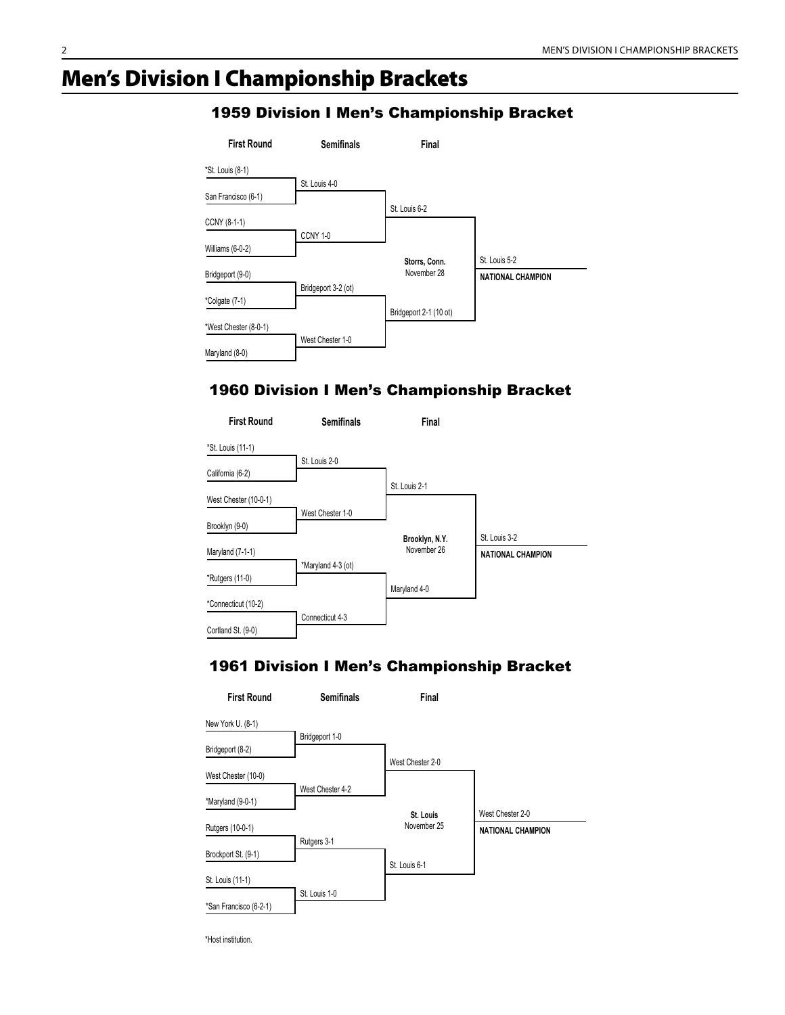# Men's Division I Championship Brackets

| <b>First Round</b>    | <b>Semifinals</b>   | Final                  |                          |
|-----------------------|---------------------|------------------------|--------------------------|
| *St. Louis (8-1)      |                     |                        |                          |
| San Francisco (6-1)   | St. Louis 4-0       |                        |                          |
| CCNY (8-1-1)          |                     | St. Louis 6-2          |                          |
| Williams (6-0-2)      | CCNY <sub>1-0</sub> |                        |                          |
|                       |                     | Storrs, Conn.          | St. Louis 5-2            |
| Bridgeport (9-0)      |                     | November 28            | <b>NATIONAL CHAMPION</b> |
| *Colgate (7-1)        | Bridgeport 3-2 (ot) | Bridgeport 2-1 (10 ot) |                          |
| *West Chester (8-0-1) |                     |                        |                          |
| Maryland (8-0)        | West Chester 1-0    |                        |                          |

#### 1959 Division I Men's Championship Bracket

#### 1960 Division I Men's Championship Bracket



#### 1961 Division I Men's Championship Bracket

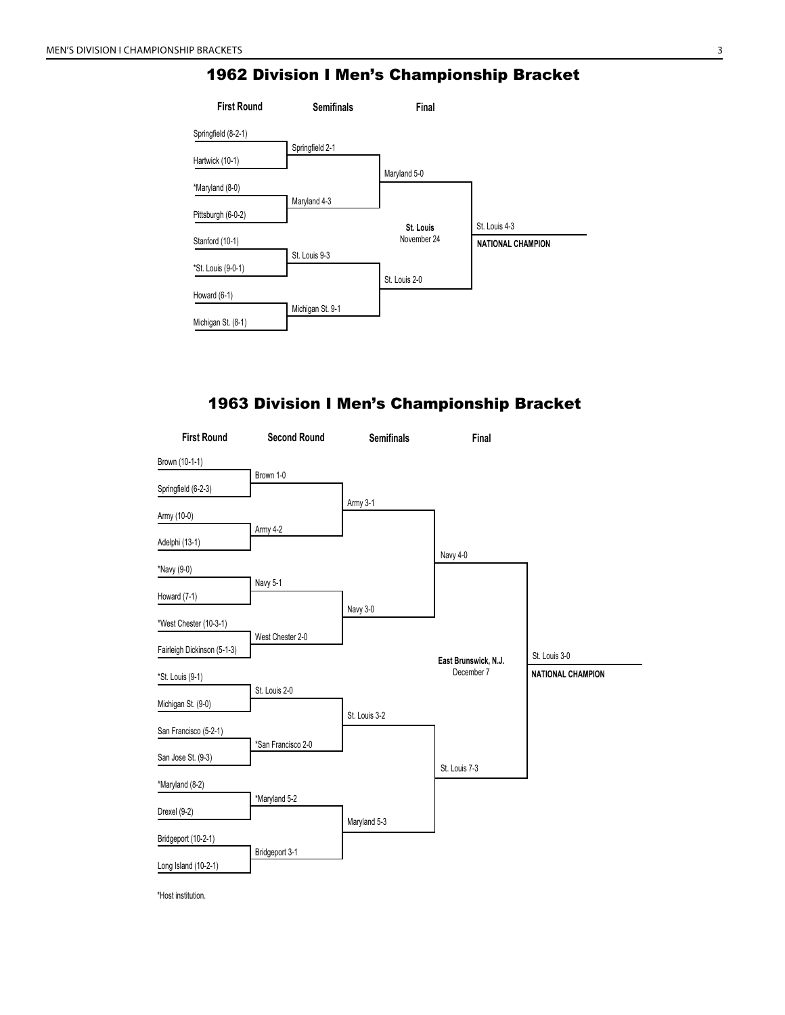

#### 1963 Division I Men's Championship Bracket

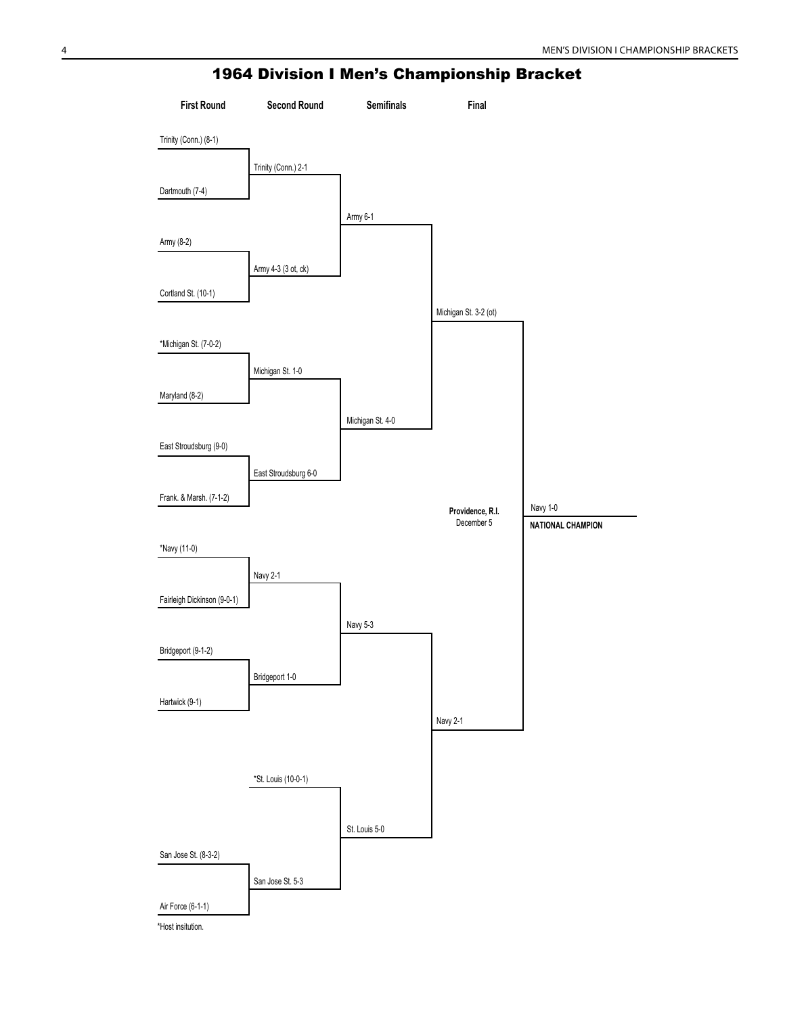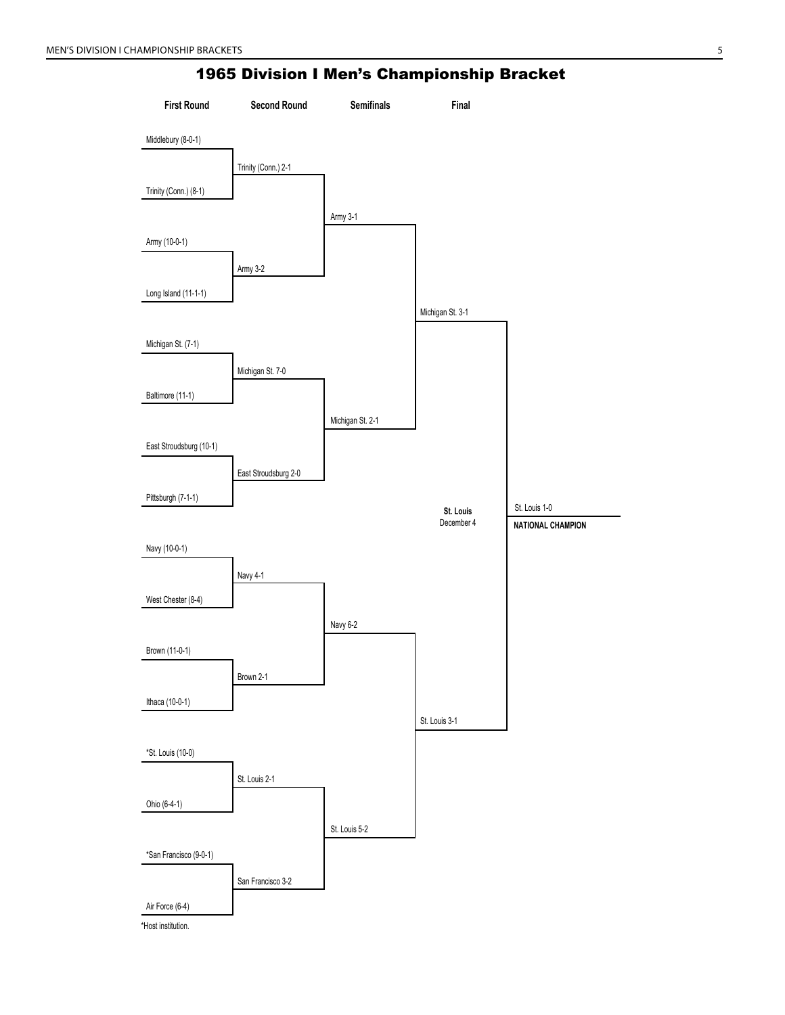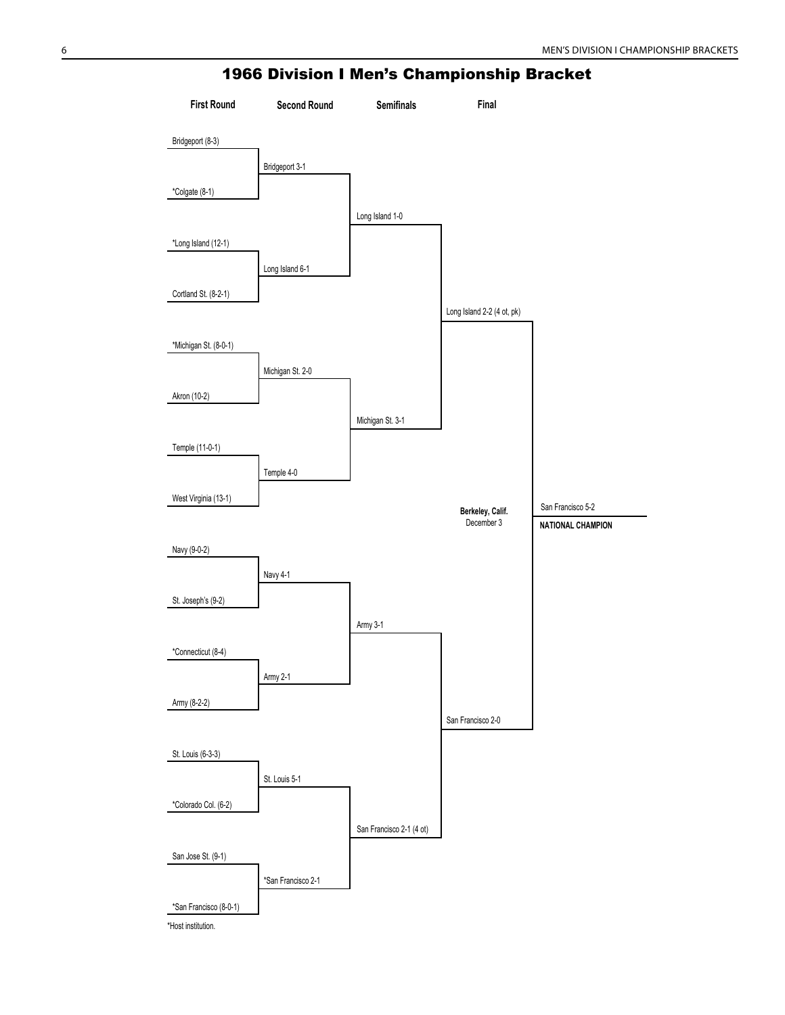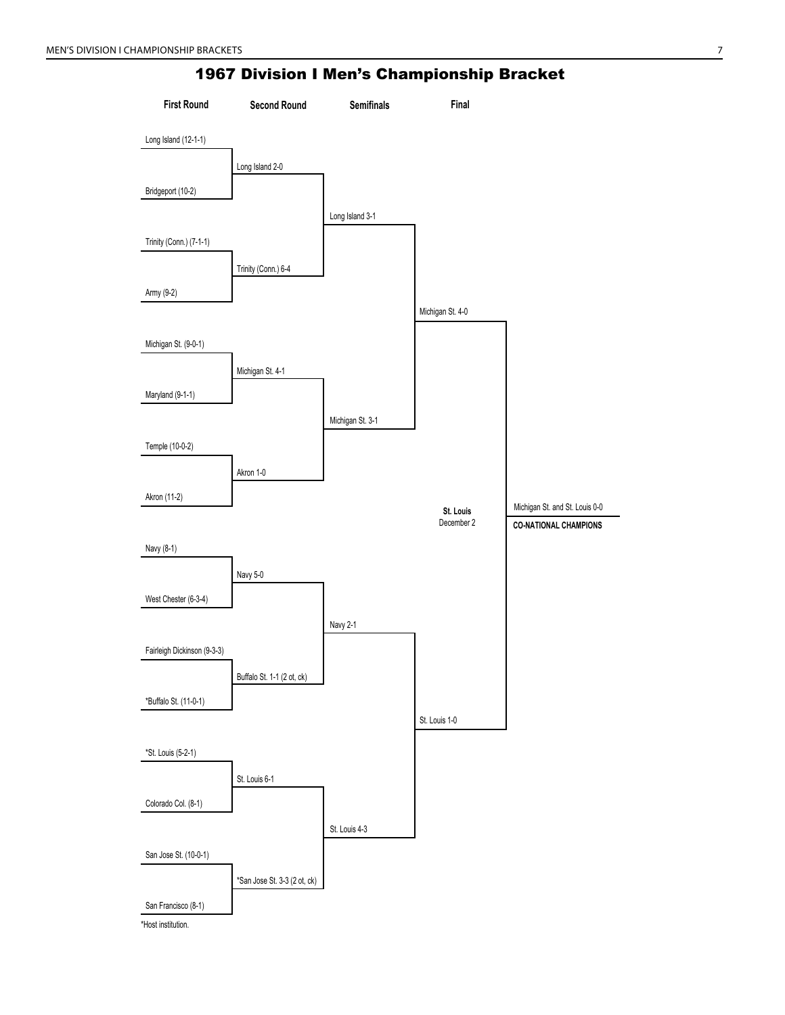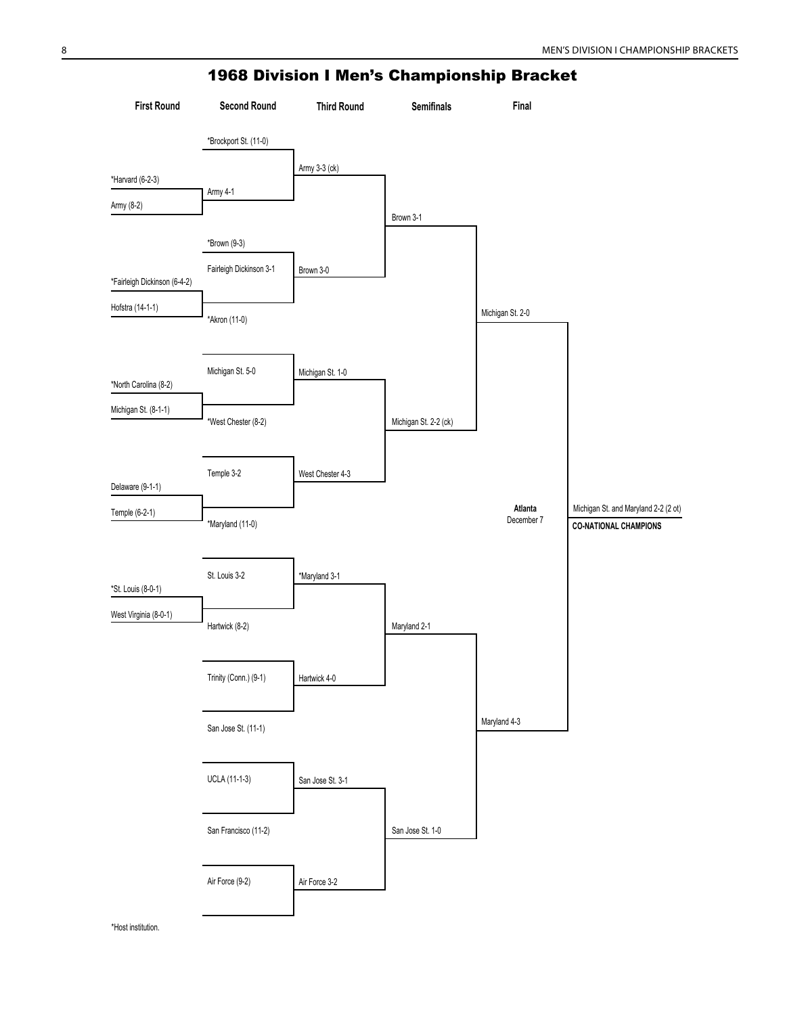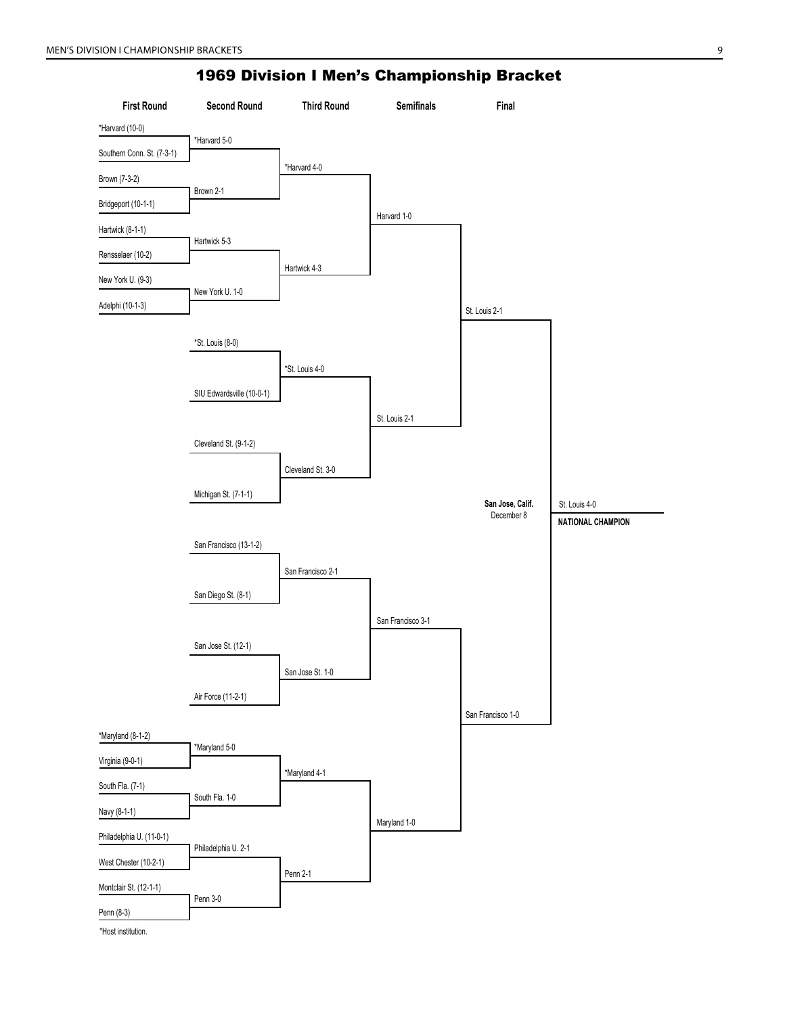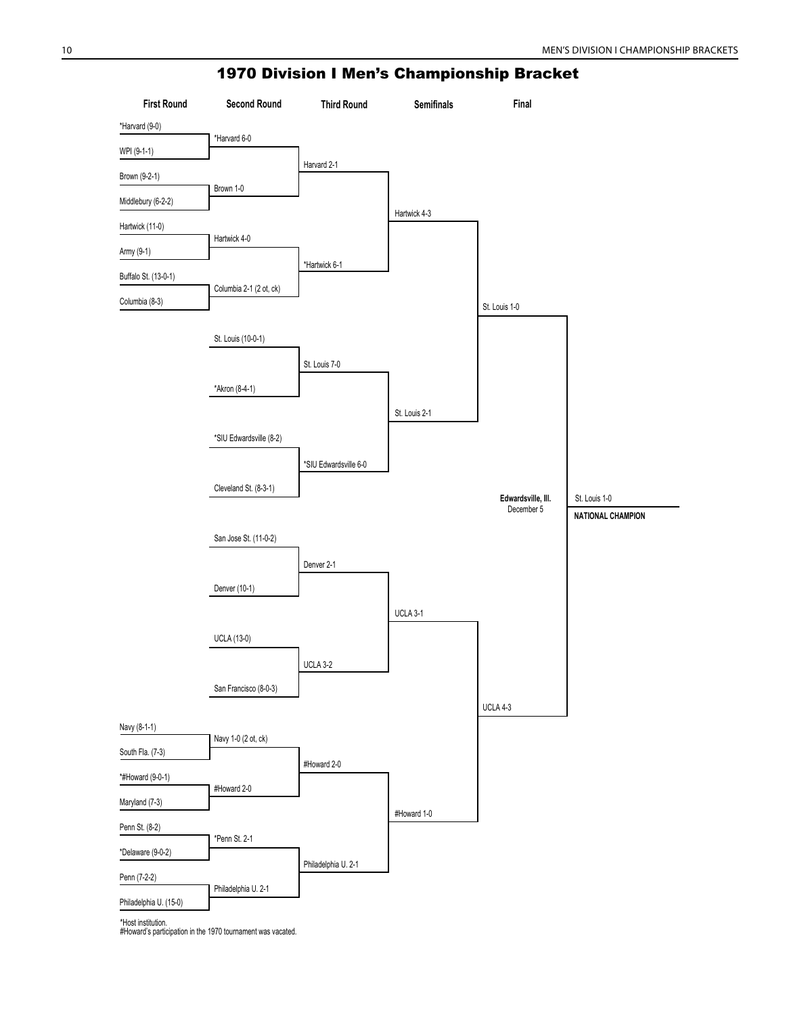

#Howard's participation in the 1970 tournament was vacated.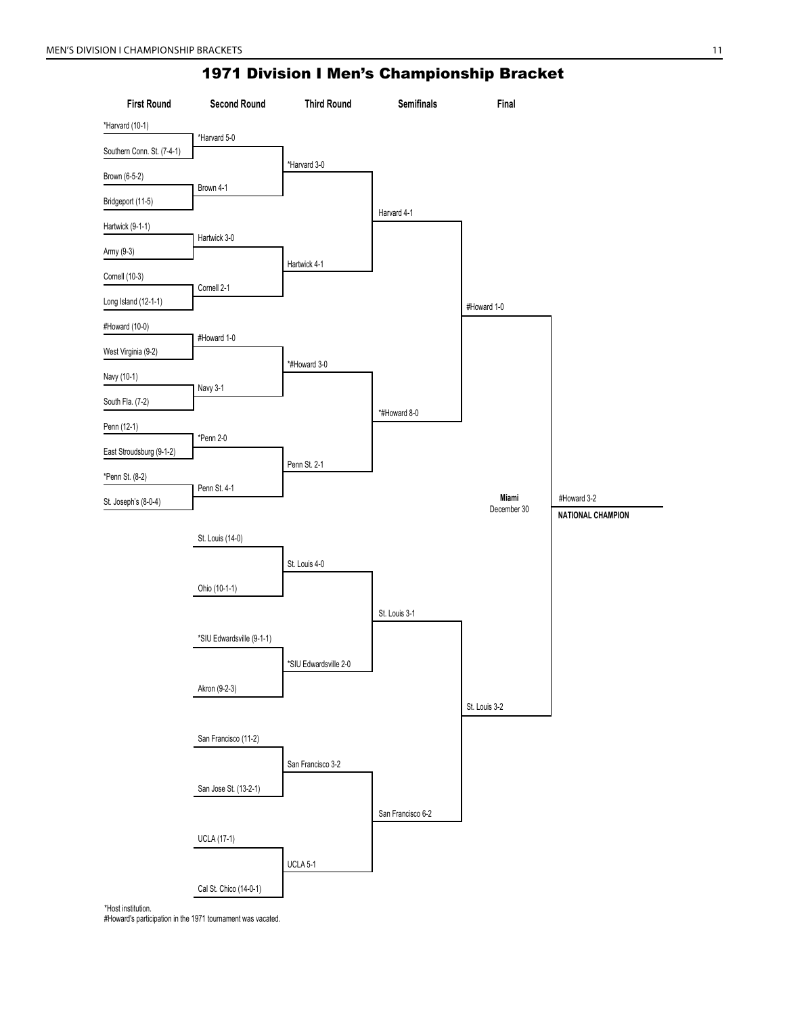

#Howard's participation in the 1971 tournament was vacated.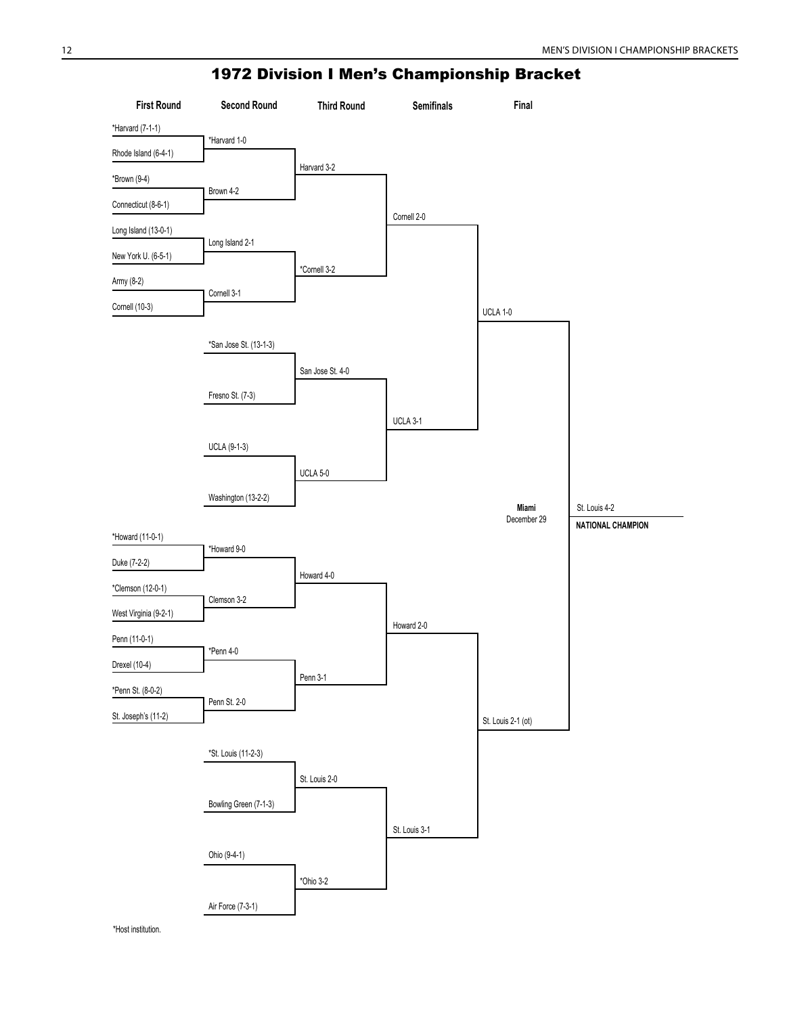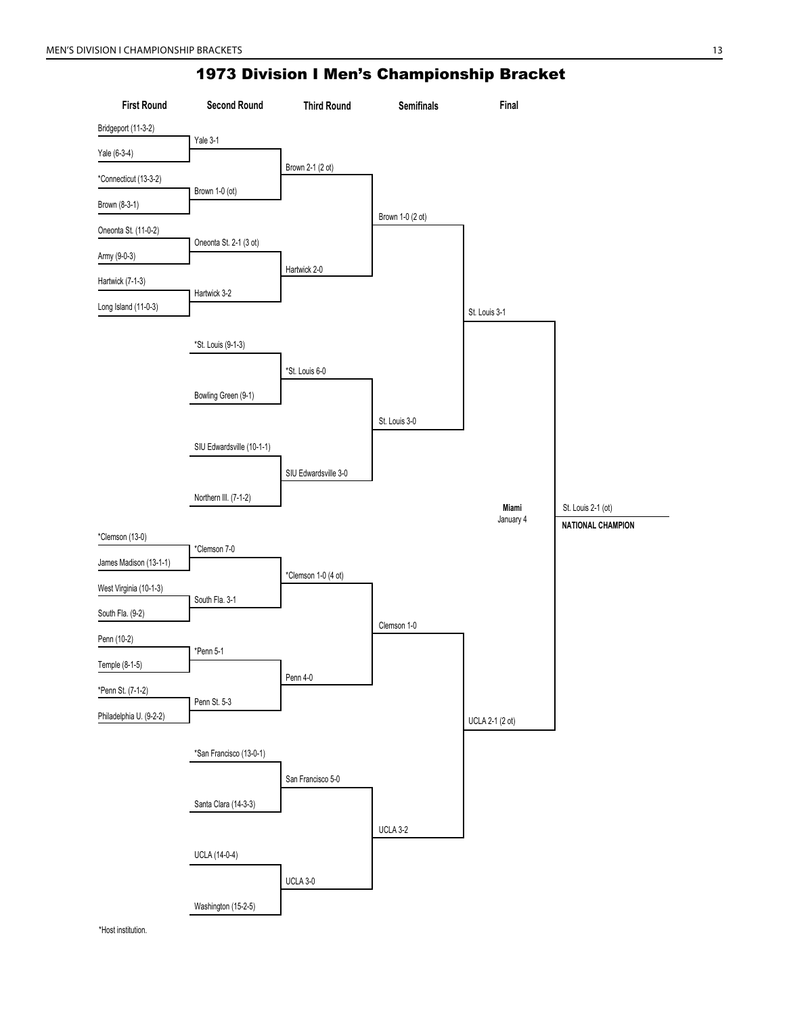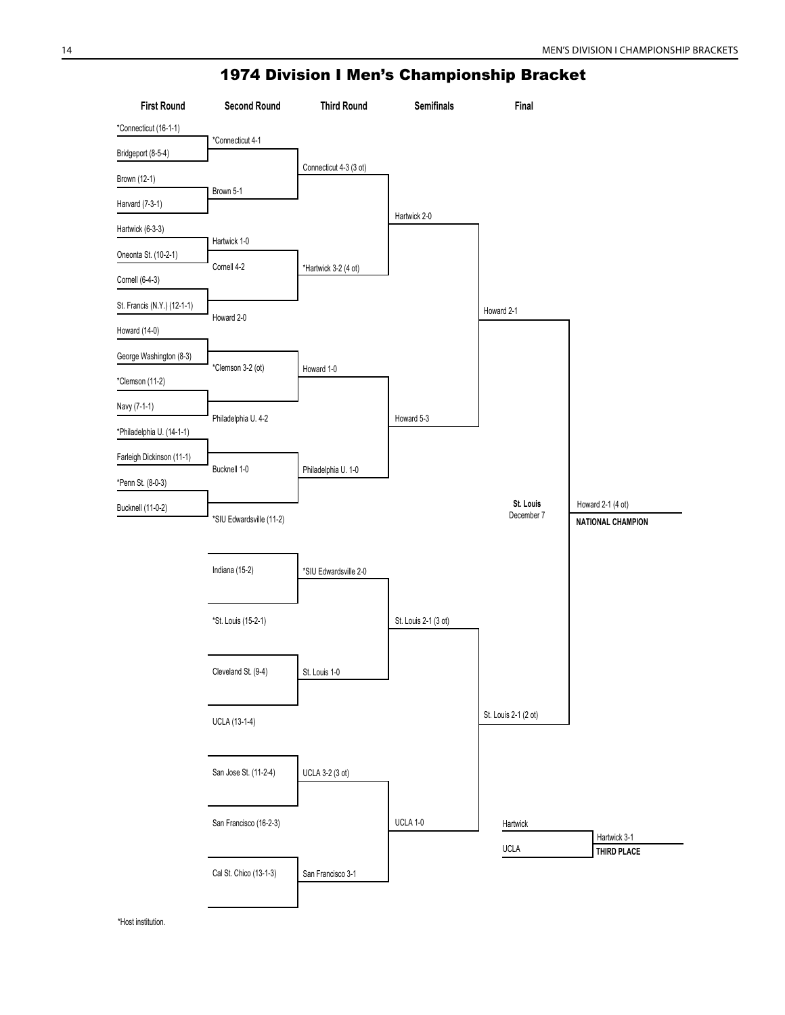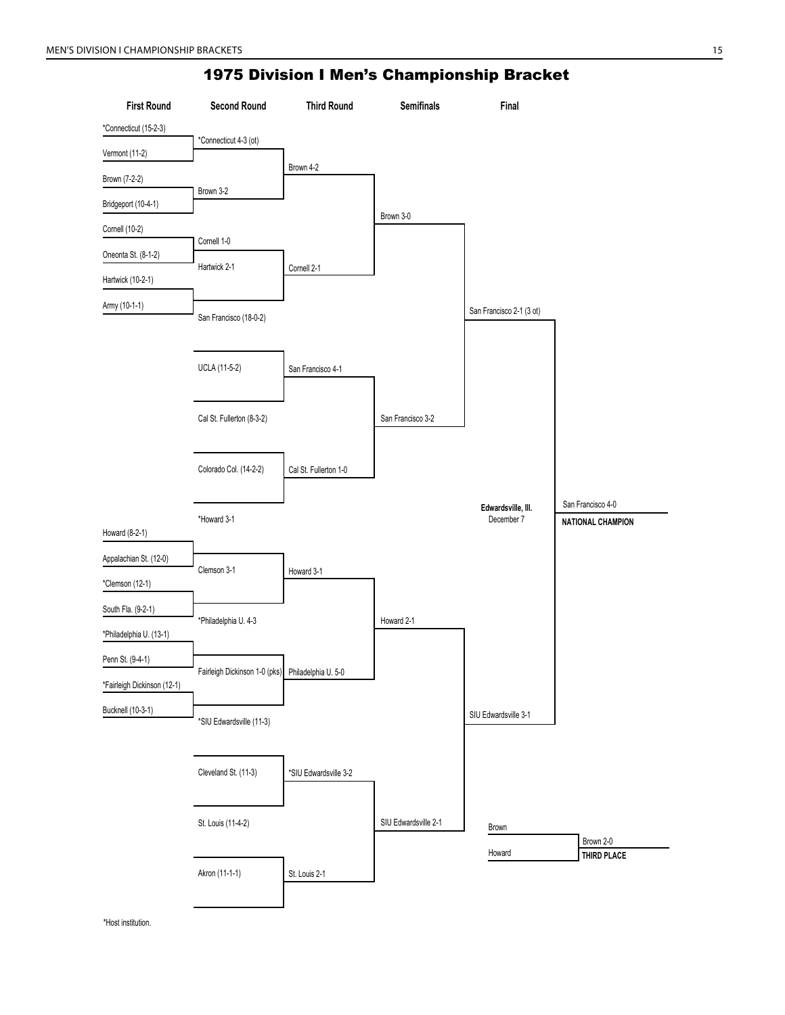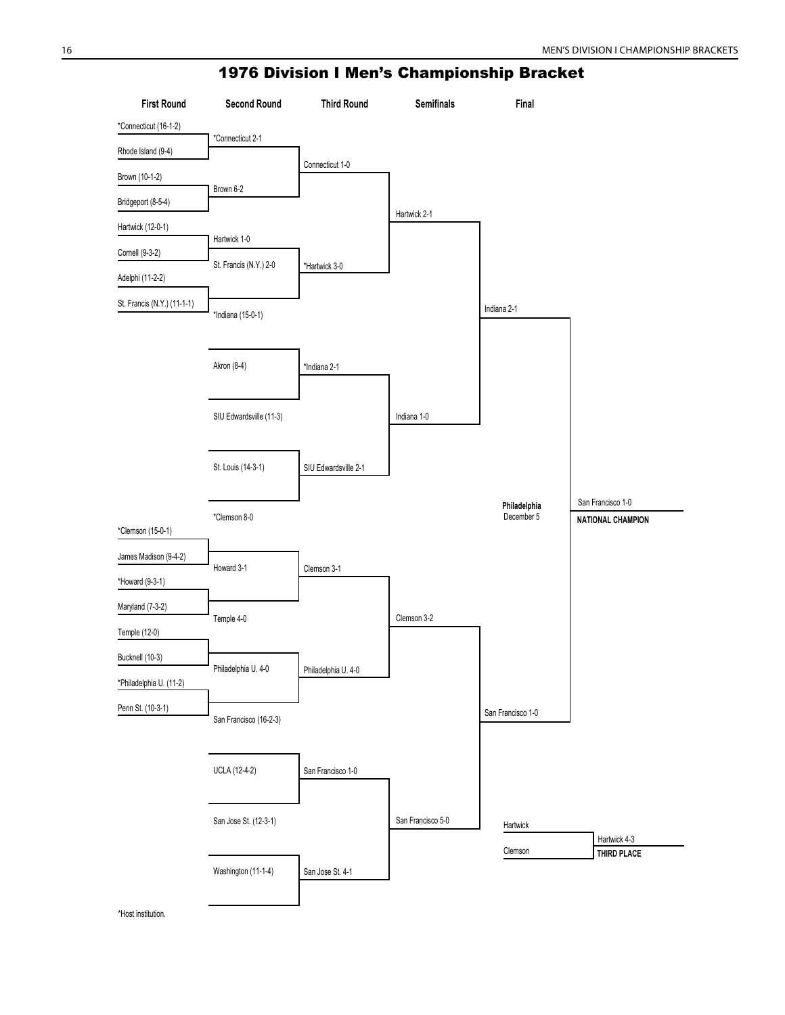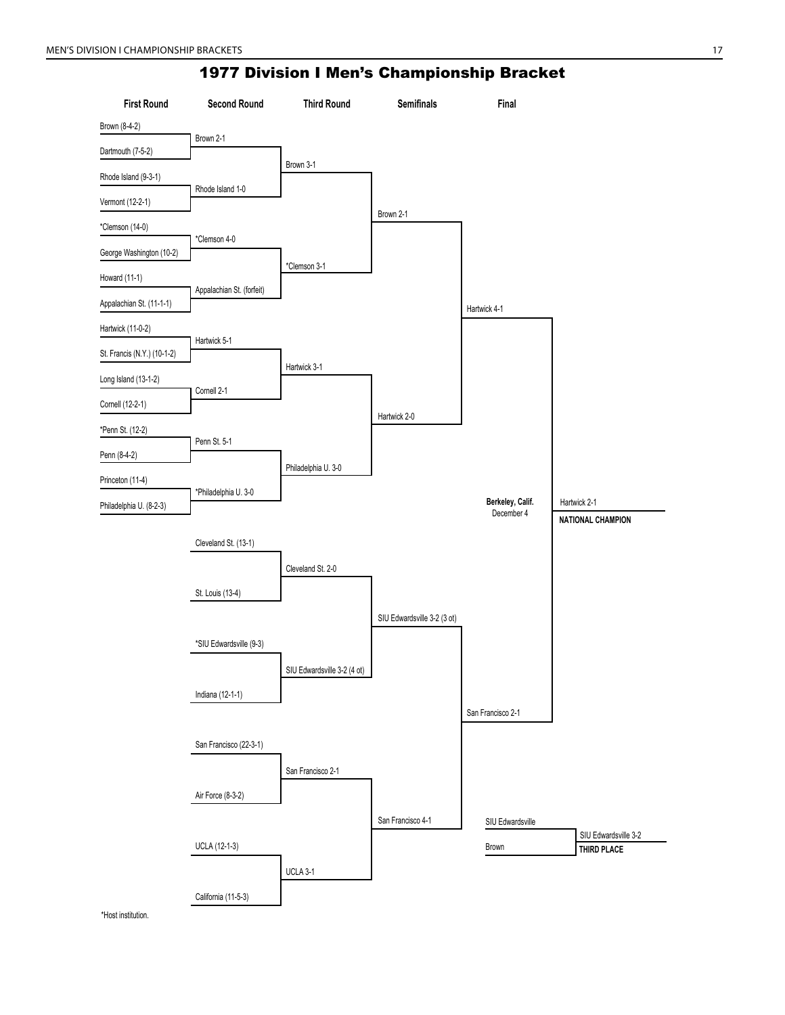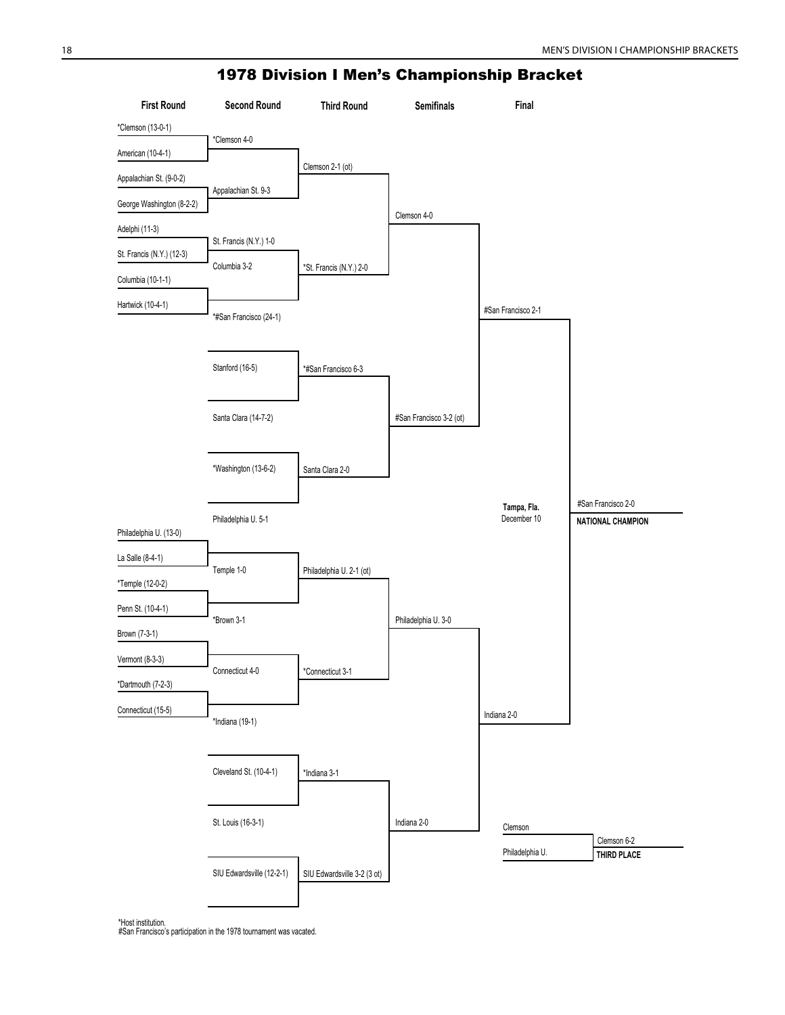

°Host institution.<br>#San Francisco's participation in the 1978 tournament was vacated.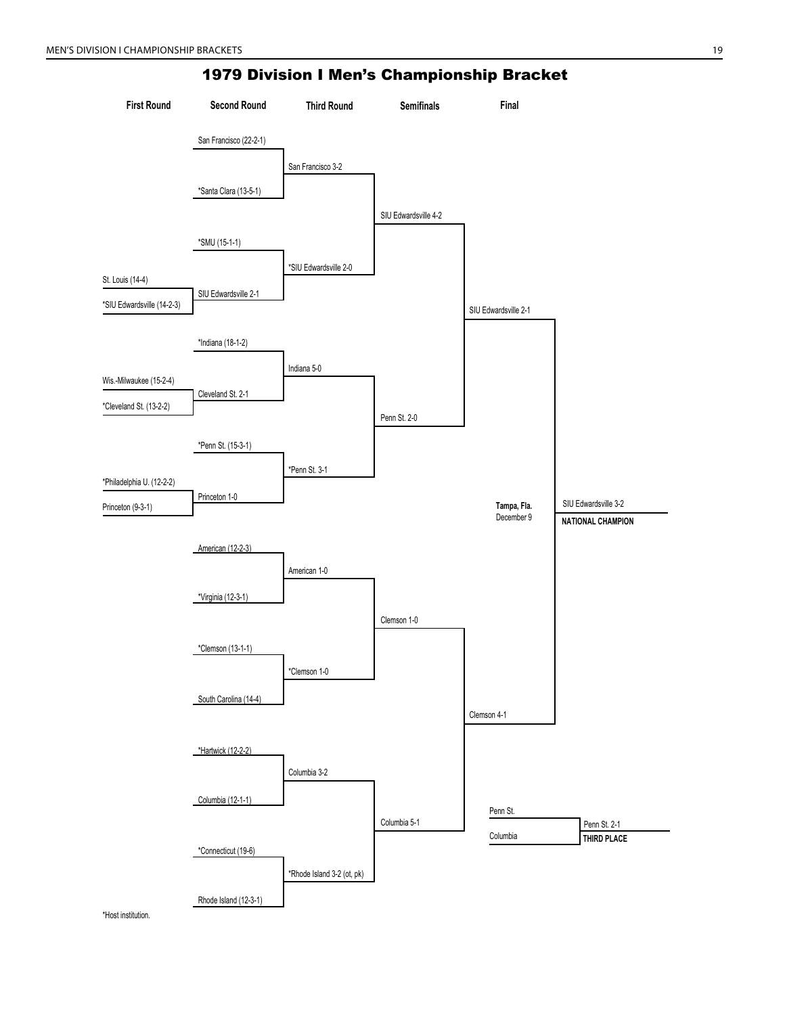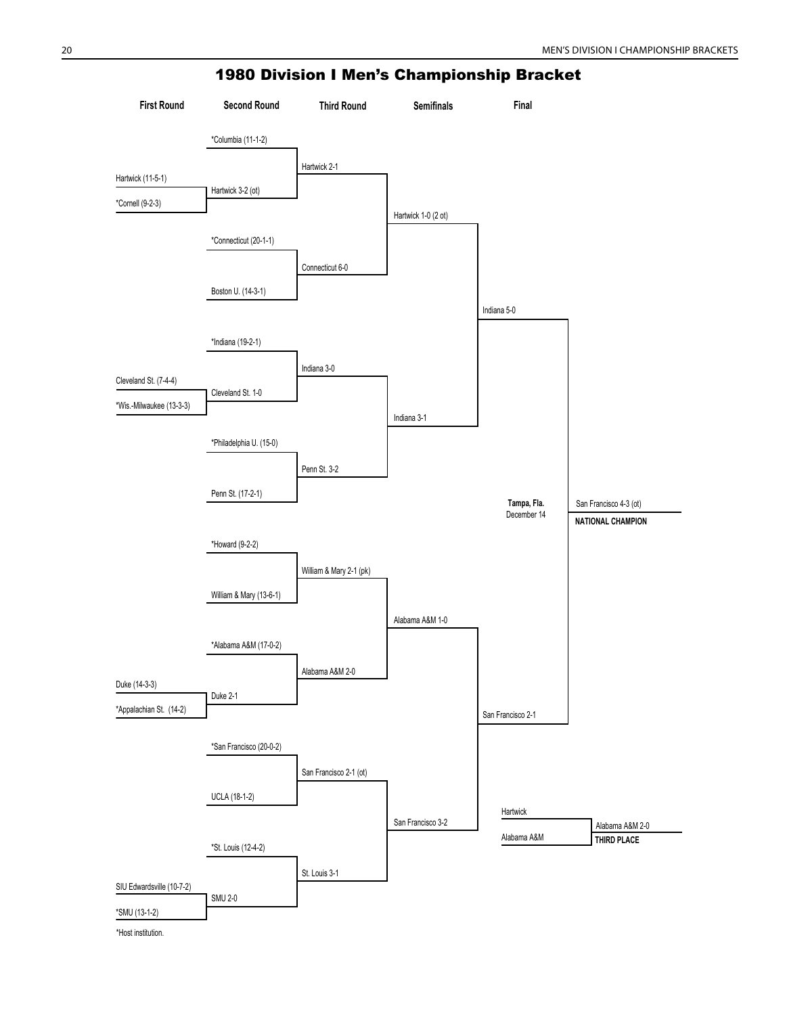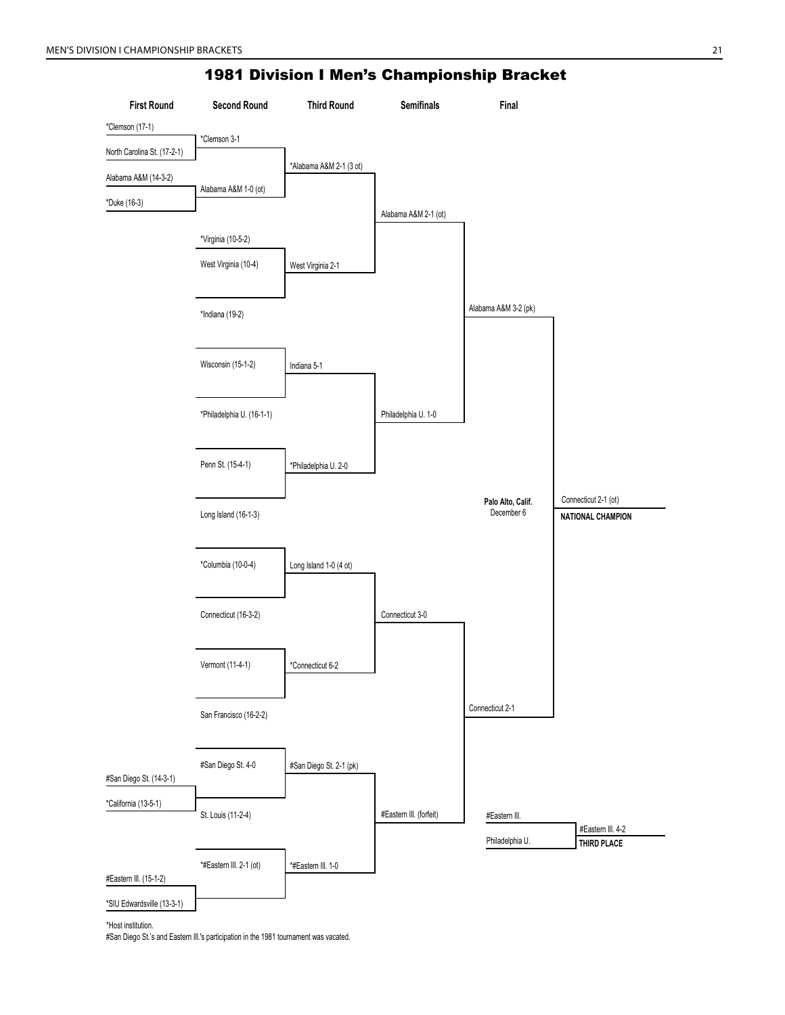

\*Host institution.

#San Diego St.'s and Eastern Ill.'s participation in the 1981 tournament was vacated.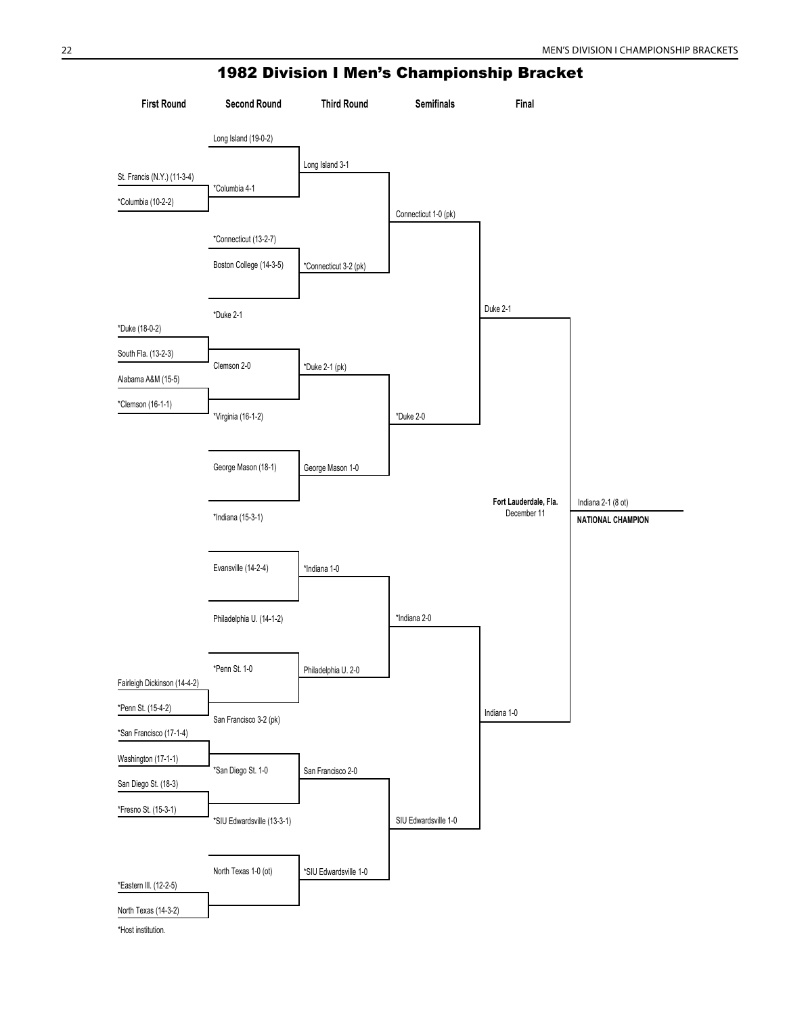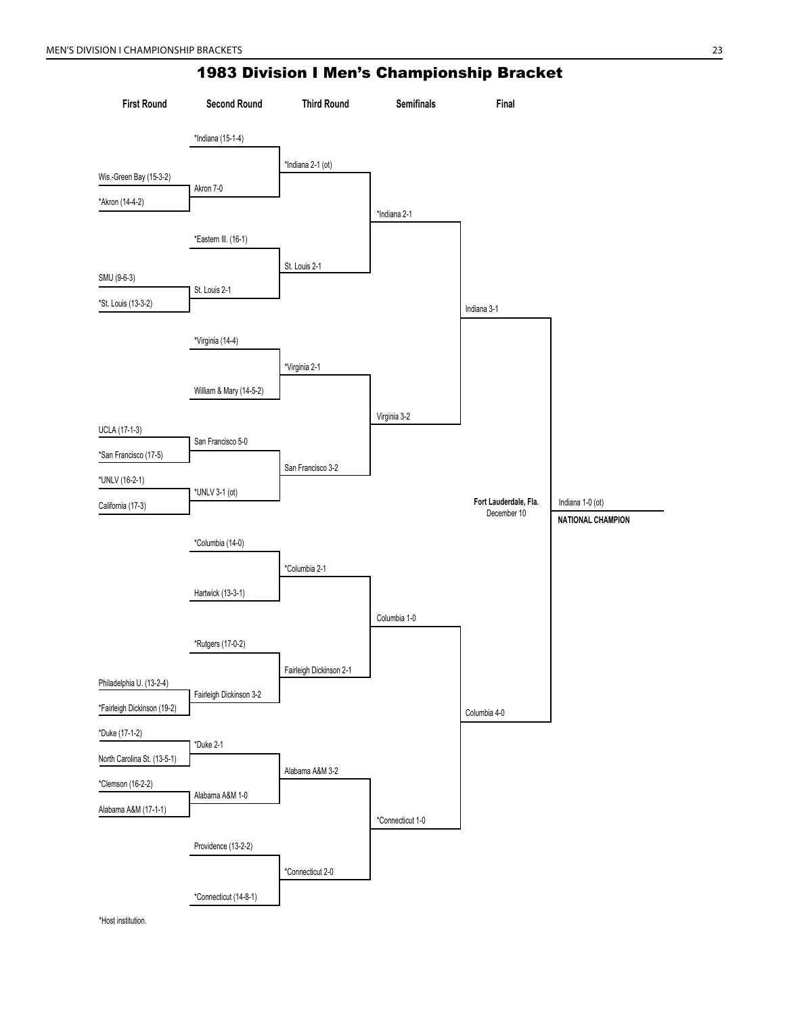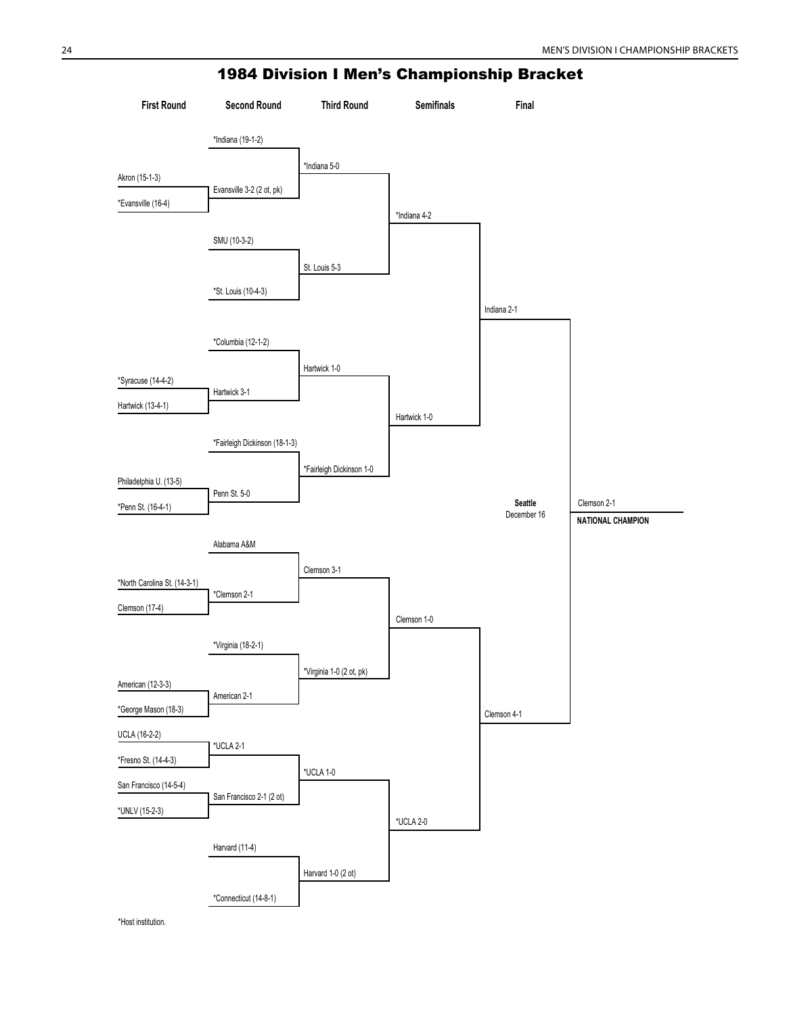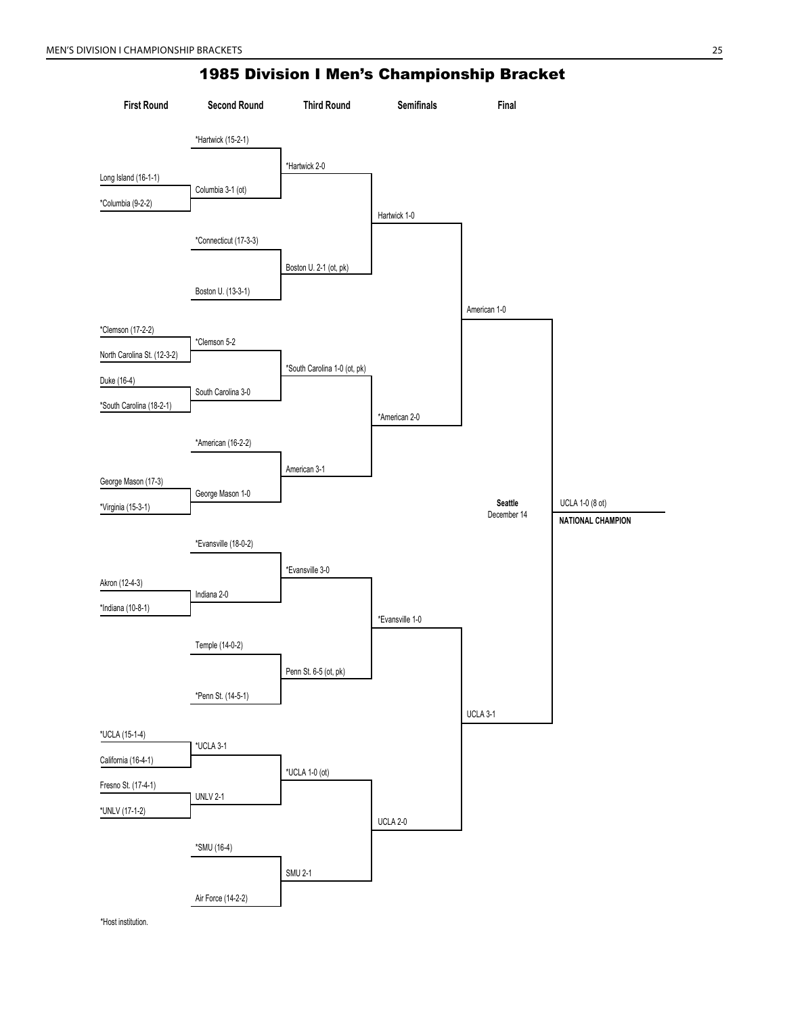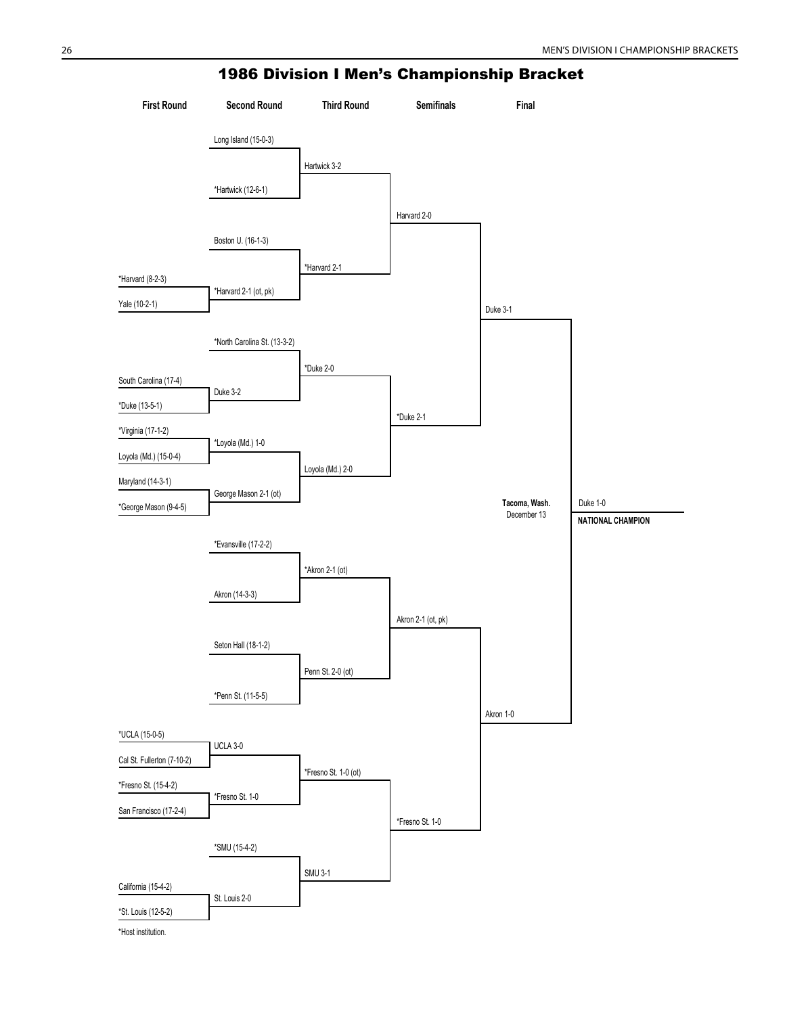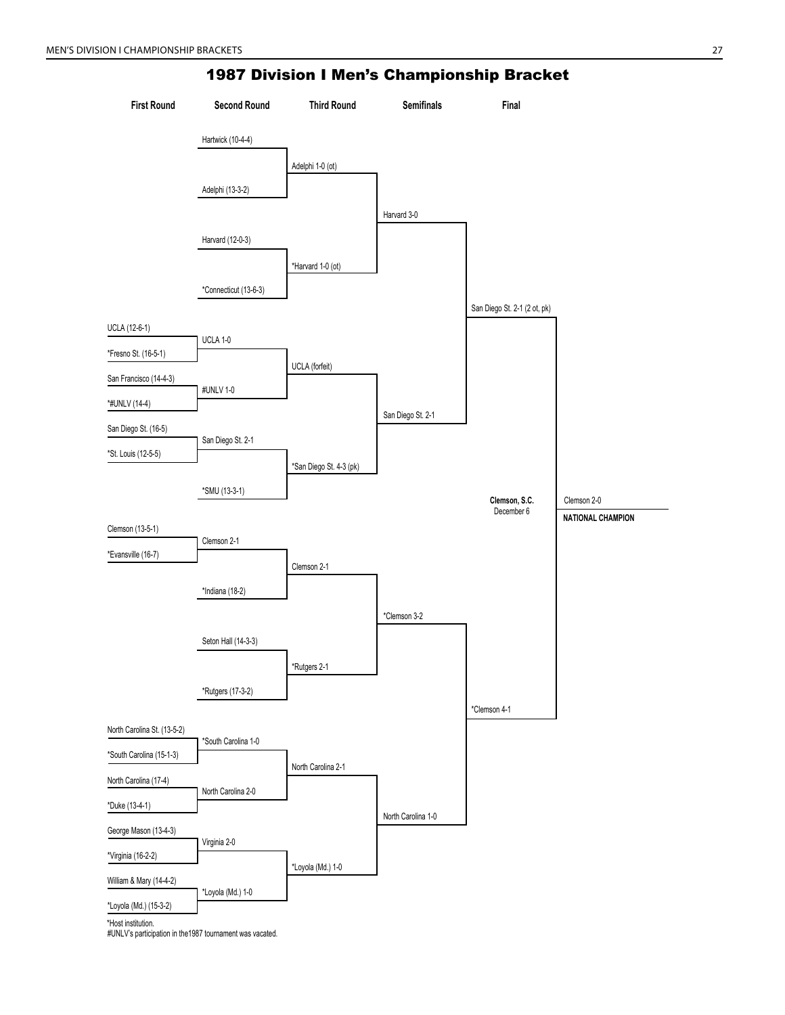

#UNLV's participation in the1987 tournament was vacated.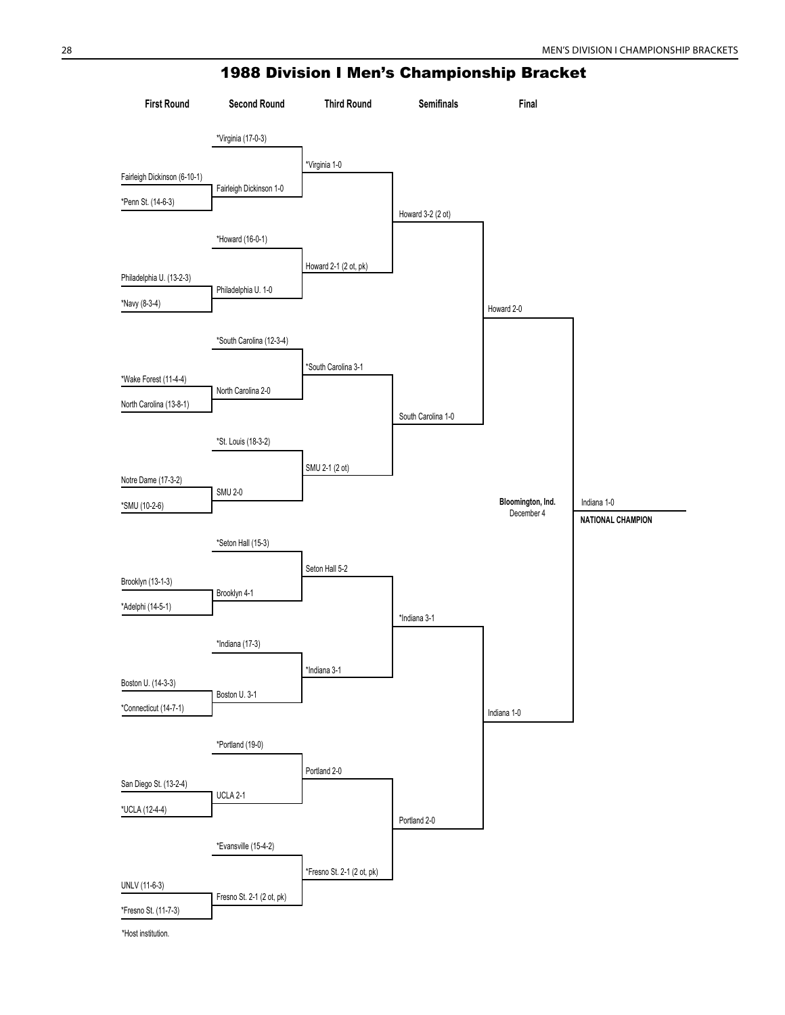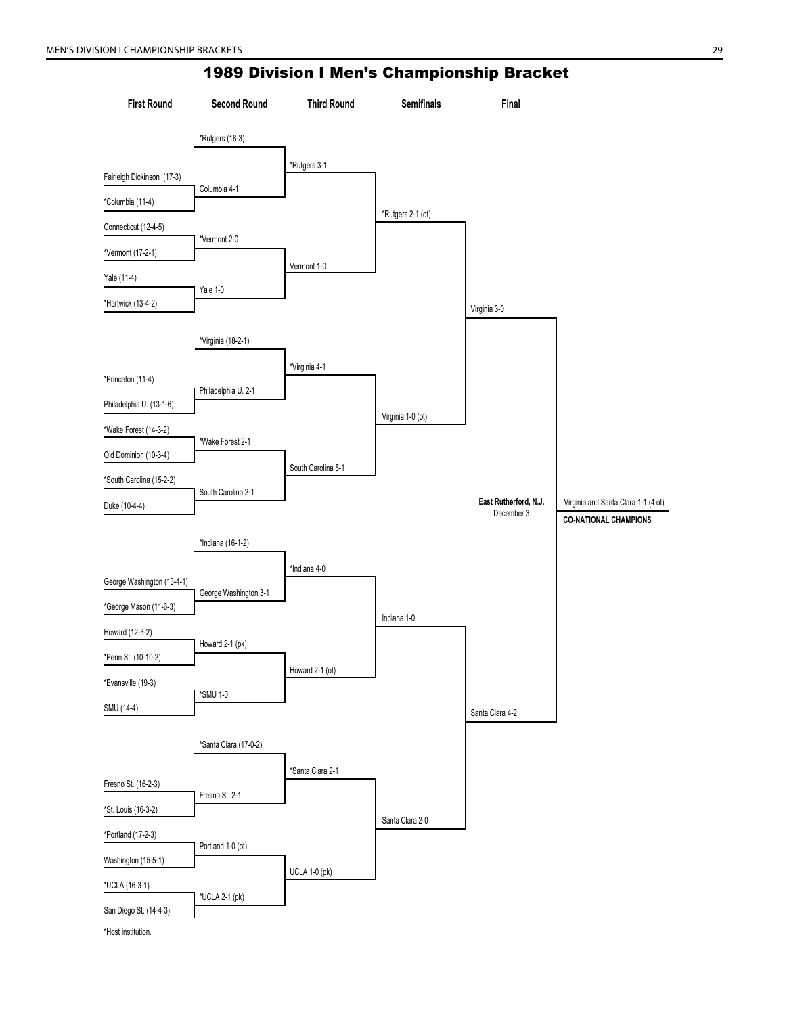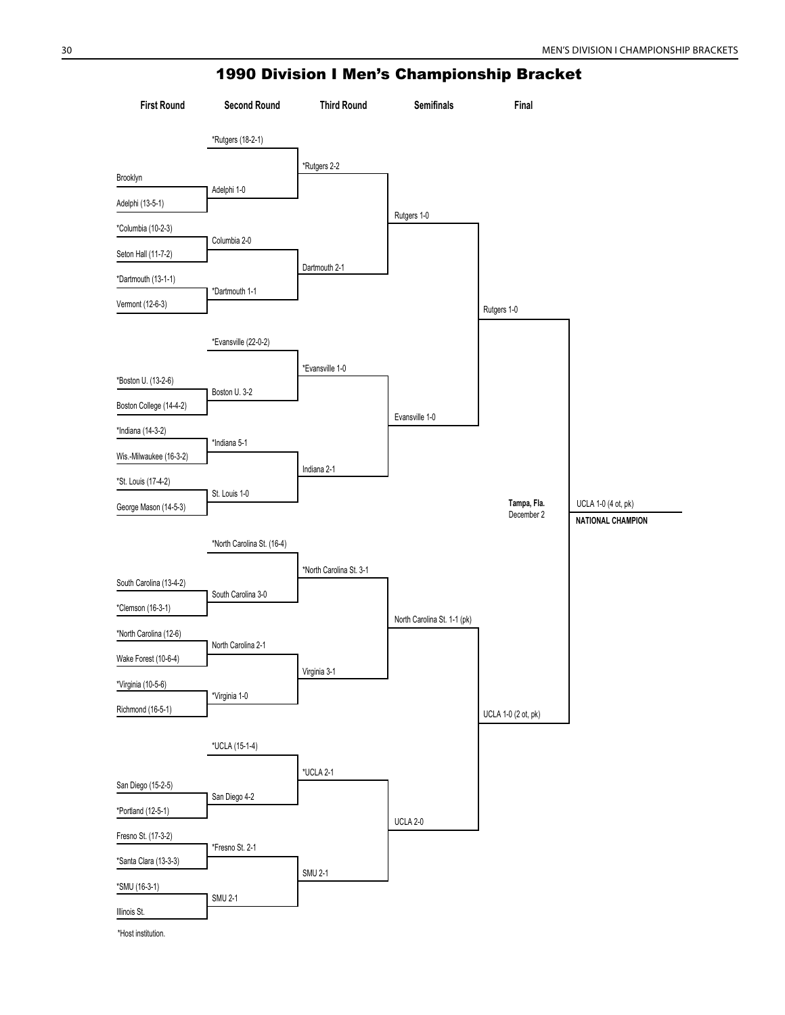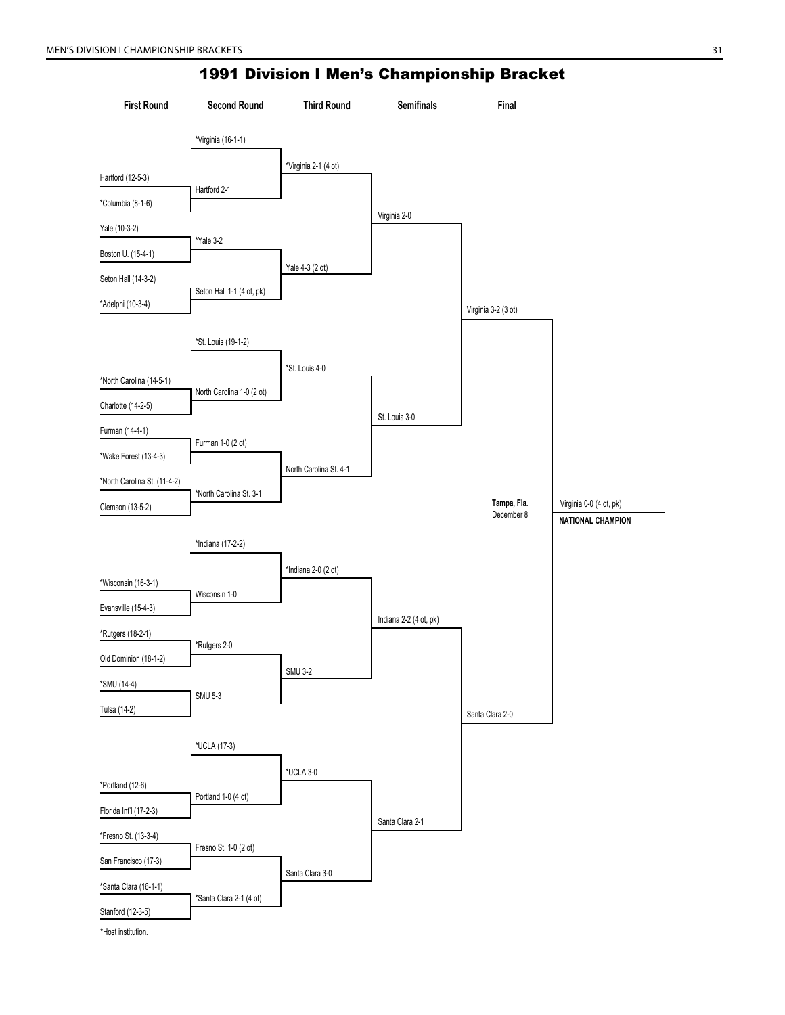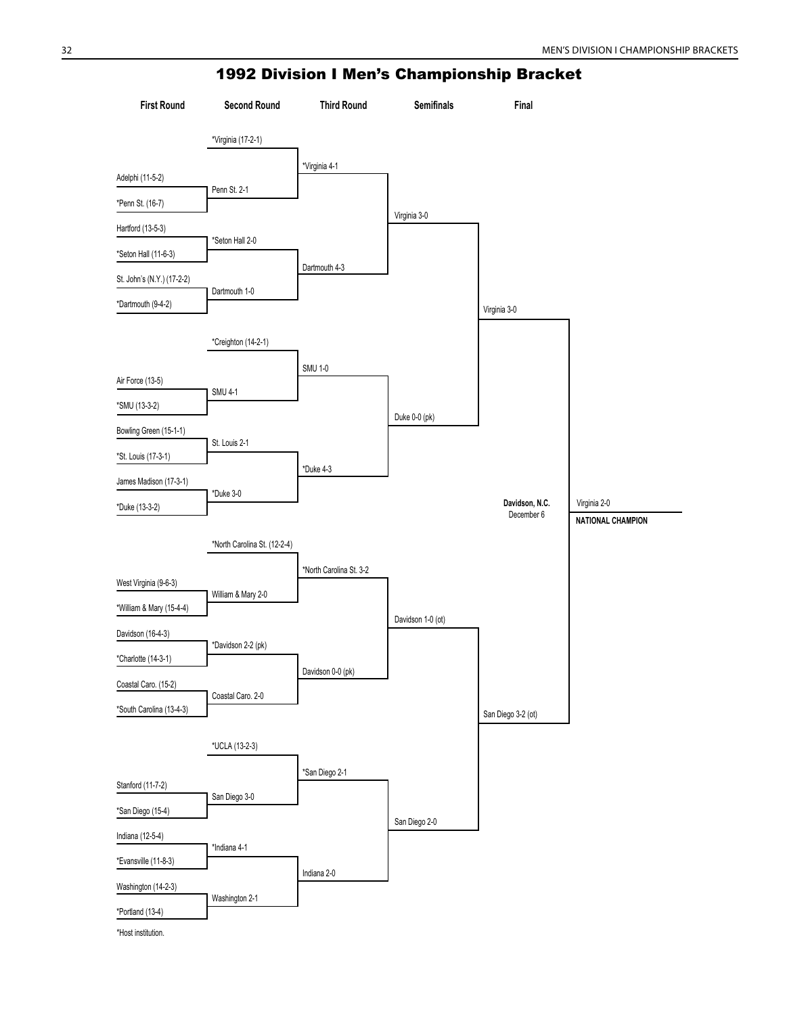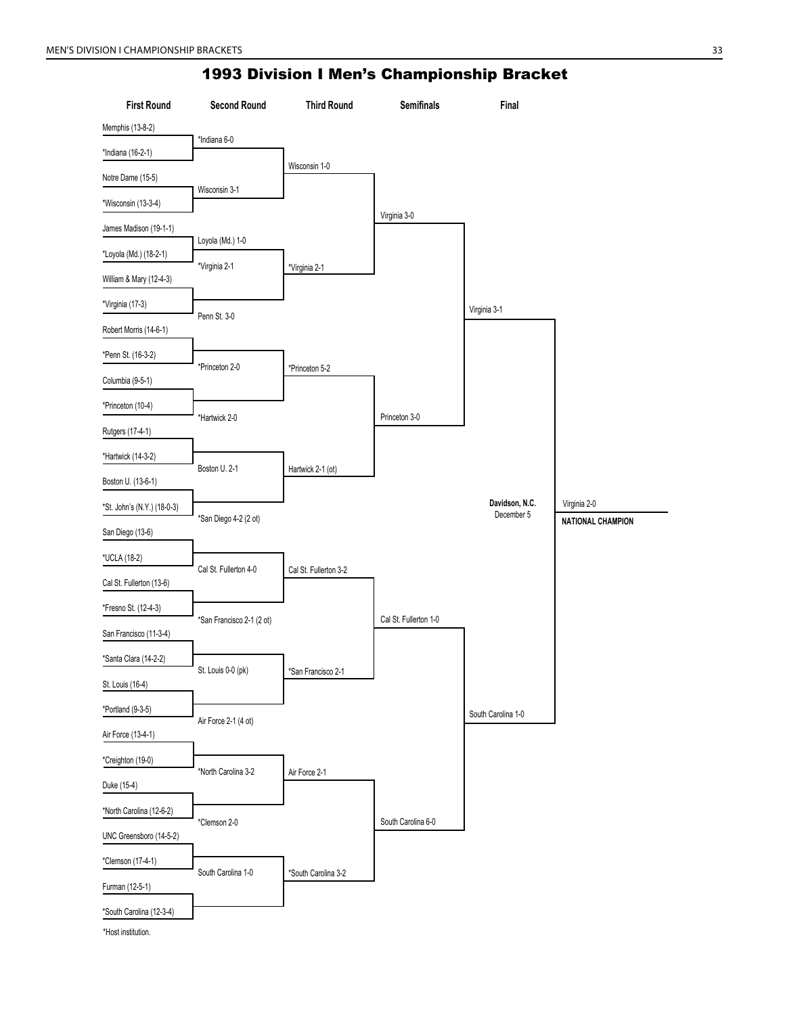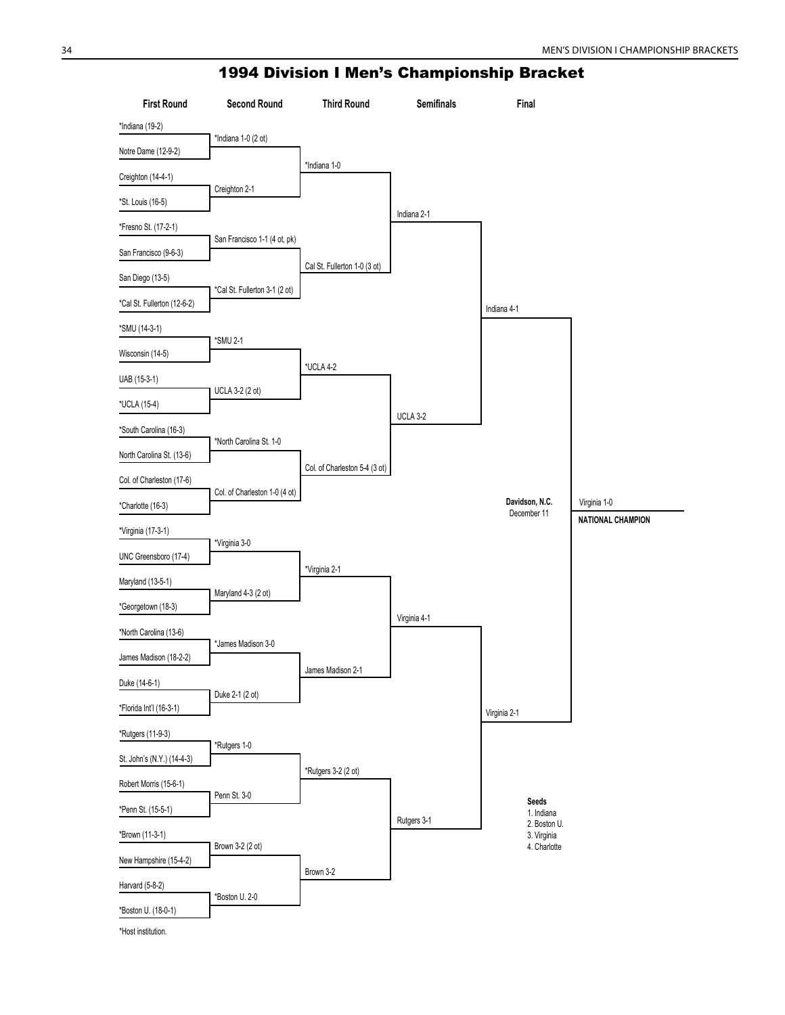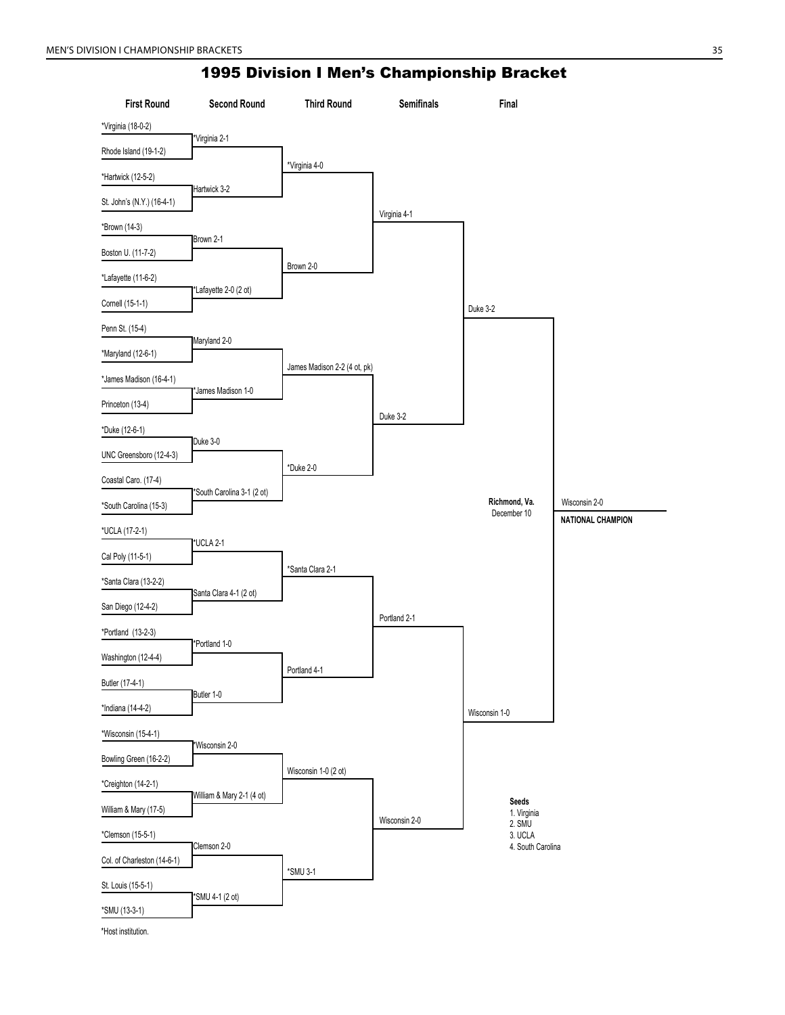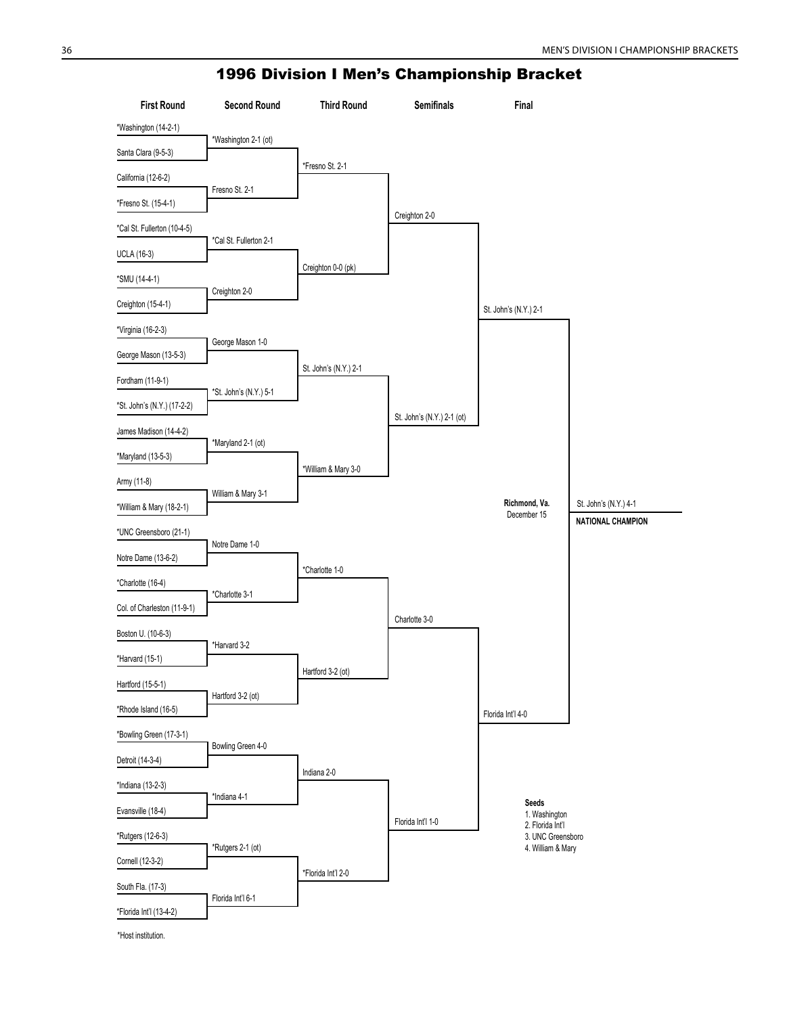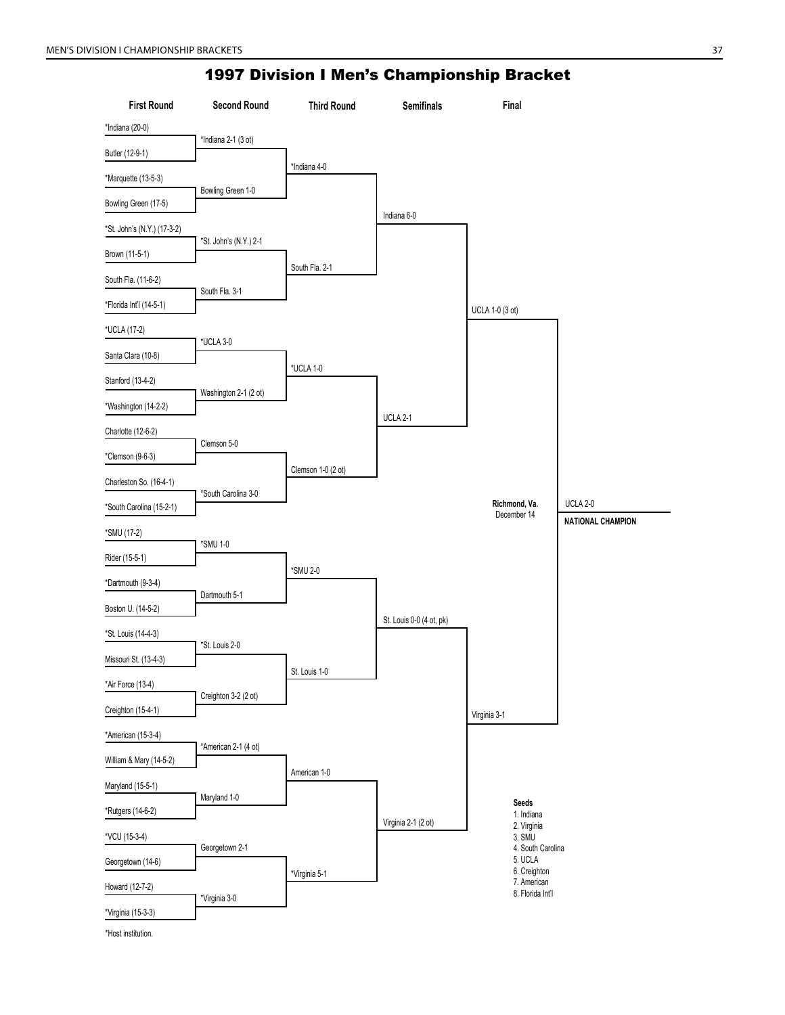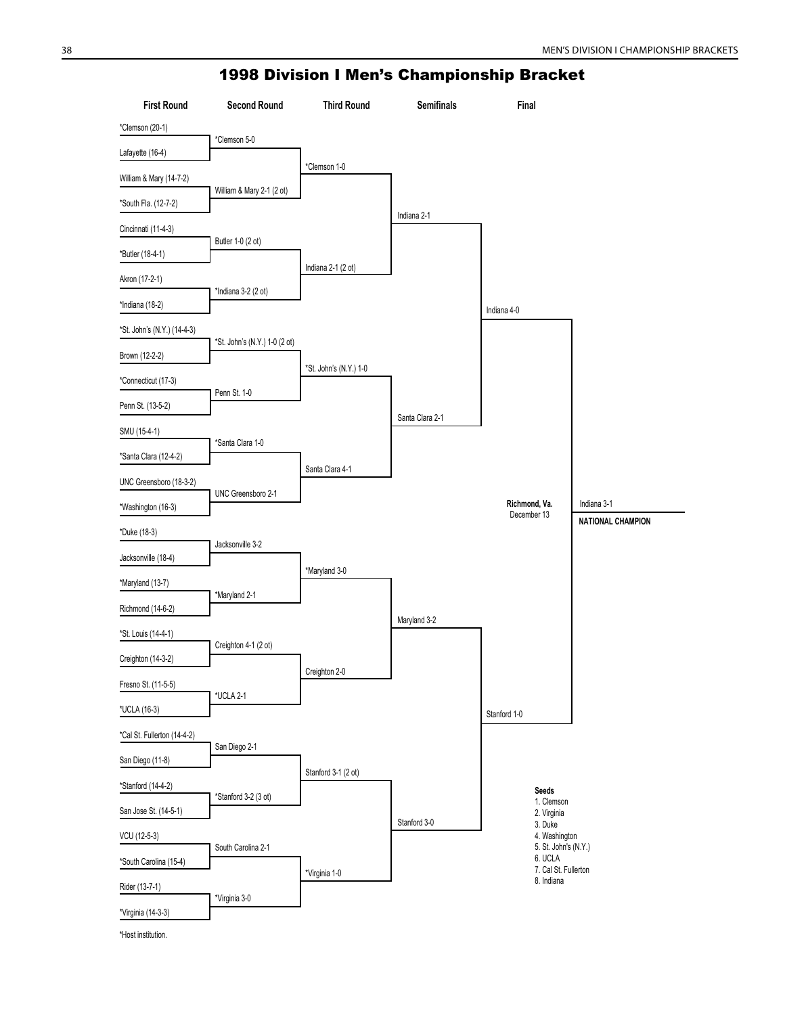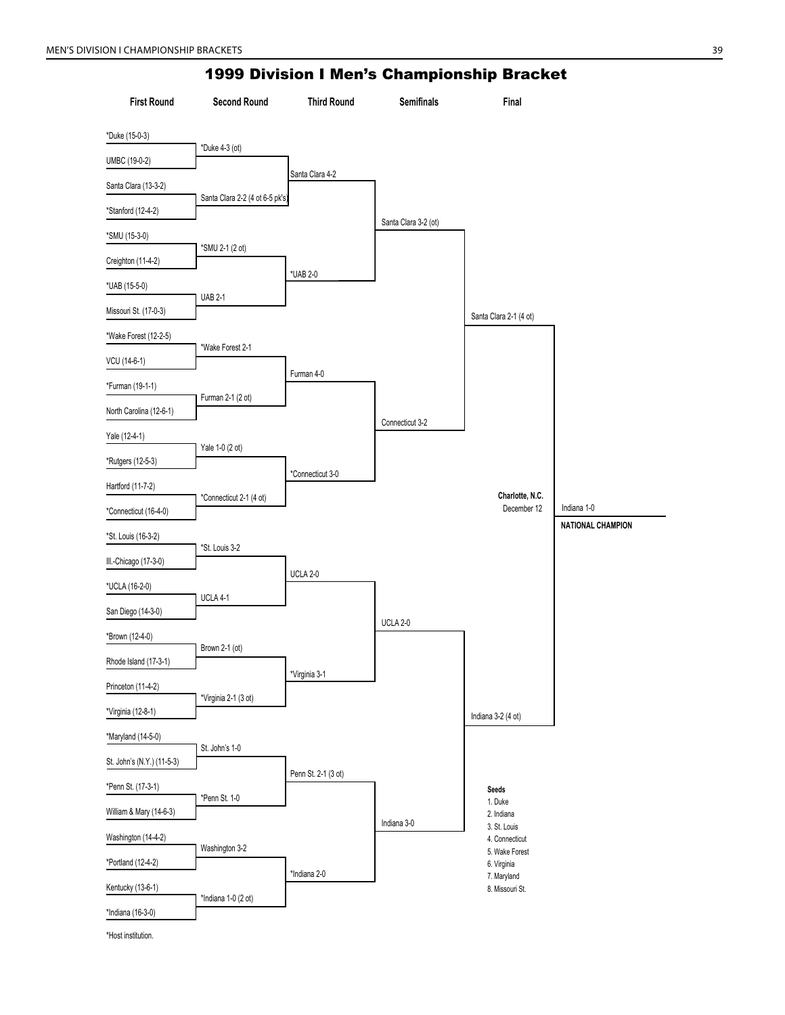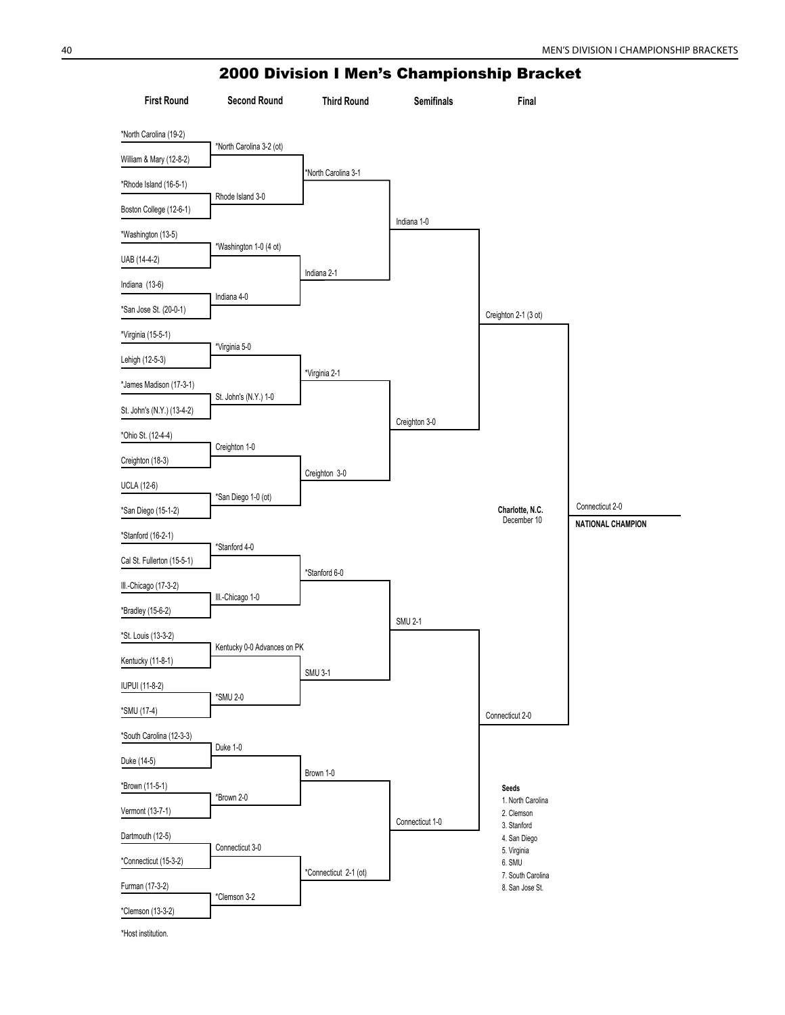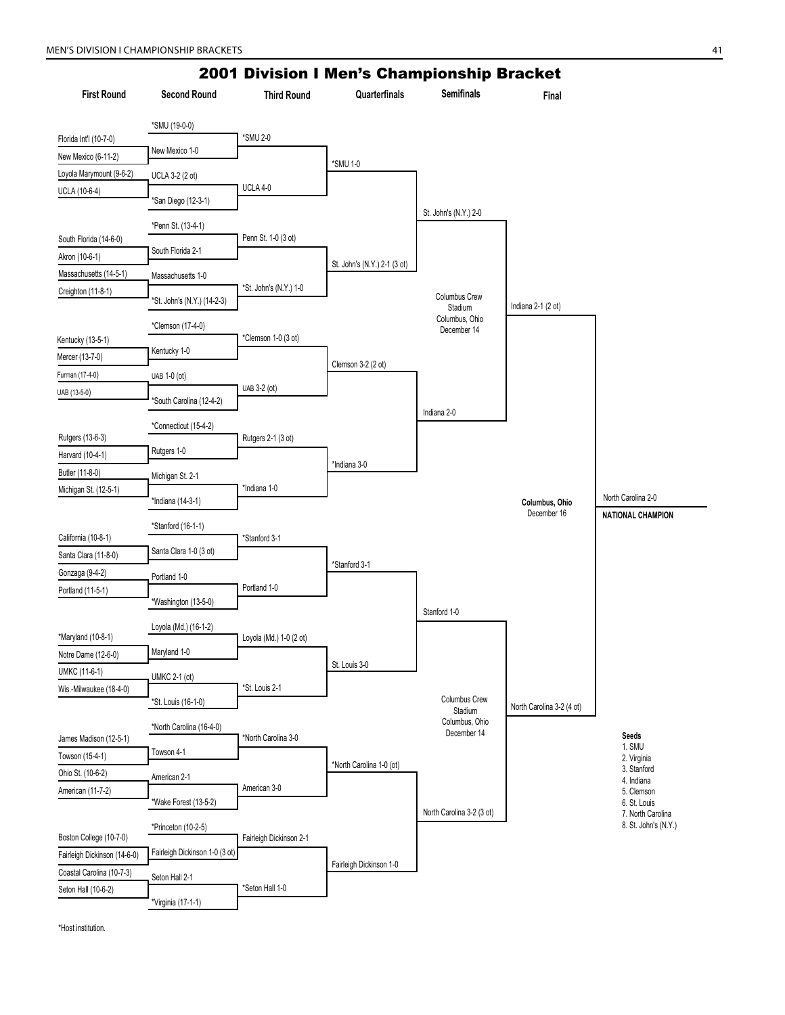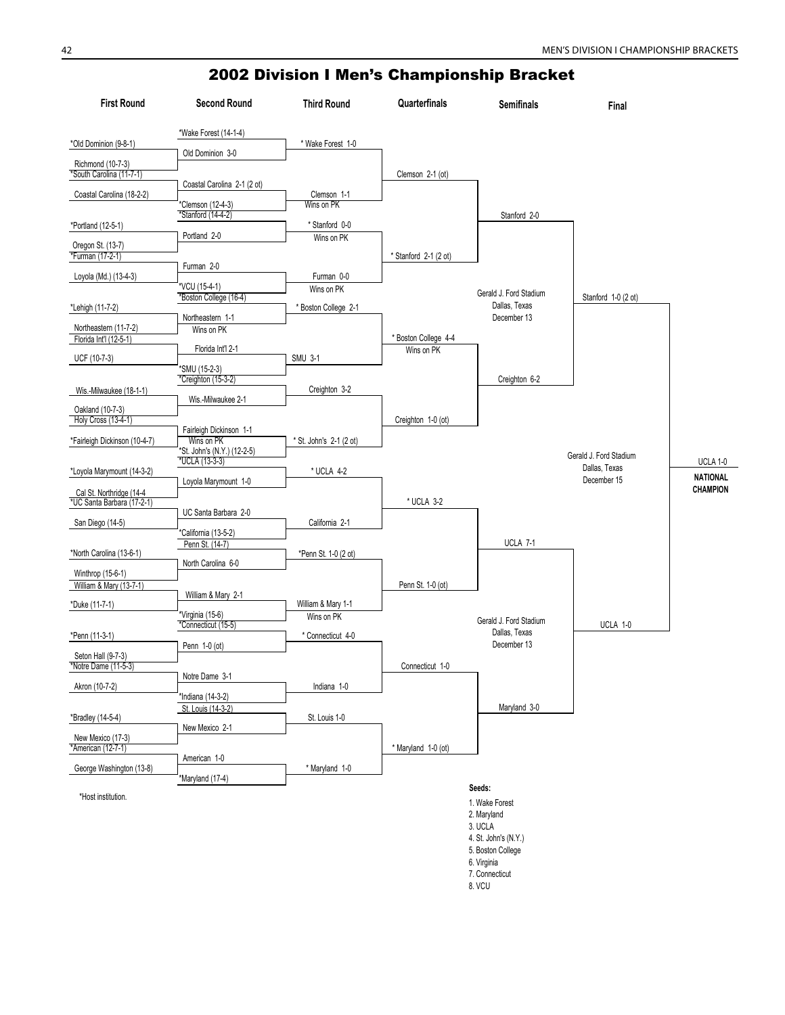| <b>First Round</b>                              | <b>Second Round</b>                            | <b>Third Round</b>               | Quarterfinals         | <b>Semifinals</b>                       | Final                        |                 |
|-------------------------------------------------|------------------------------------------------|----------------------------------|-----------------------|-----------------------------------------|------------------------------|-----------------|
|                                                 | *Wake Forest (14-1-4)                          |                                  |                       |                                         |                              |                 |
| *Old Dominion (9-8-1)                           | Old Dominion 3-0                               | * Wake Forest 1-0                |                       |                                         |                              |                 |
| Richmond (10-7-3)<br>*South Carolina (11-7-1)   |                                                |                                  |                       |                                         |                              |                 |
|                                                 | Coastal Carolina 2-1 (2 ot)                    |                                  | Clemson 2-1 (ot)      |                                         |                              |                 |
| Coastal Carolina (18-2-2)                       |                                                | Clemson 1-1                      |                       |                                         |                              |                 |
|                                                 | *Clemson (12-4-3)<br>*Stanford (14-4-2)        | Wins on PK                       |                       | Stanford 2-0                            |                              |                 |
| *Portland (12-5-1)                              |                                                | * Stanford 0-0                   |                       |                                         |                              |                 |
| Oregon St. (13-7)                               | Portland 2-0                                   | Wins on PK                       |                       |                                         |                              |                 |
| *Furman (17-2-1)                                |                                                |                                  | * Stanford 2-1 (2 ot) |                                         |                              |                 |
| Loyola (Md.) (13-4-3)                           | Furman 2-0                                     | Furman 0-0                       |                       |                                         |                              |                 |
|                                                 | 'VCU (15-4-1)                                  | Wins on PK                       |                       | Gerald J. Ford Stadium                  |                              |                 |
| *Lehigh (11-7-2)                                | *Boston College (16-4)                         | Boston College 2-1               |                       | Dallas, Texas                           | Stanford 1-0 (2 ot)          |                 |
|                                                 | Northeastern 1-1                               |                                  |                       | December 13                             |                              |                 |
| Northeastern (11-7-2)<br>Florida Int'l (12-5-1) | Wins on PK                                     |                                  | * Boston College 4-4  |                                         |                              |                 |
|                                                 | Florida Int'l 2-1                              |                                  | Wins on PK            |                                         |                              |                 |
| UCF (10-7-3)                                    | *SMU (15-2-3)                                  | <b>SMU 3-1</b>                   |                       |                                         |                              |                 |
|                                                 | *Creighton (15-3-2)                            |                                  |                       | Creighton 6-2                           |                              |                 |
| Wis.-Milwaukee (18-1-1)                         | Wis.-Milwaukee 2-1                             | Creighton 3-2                    |                       |                                         |                              |                 |
| Oakland (10-7-3)                                |                                                |                                  |                       |                                         |                              |                 |
| Holy Cross (13-4-1)                             | Fairleigh Dickinson 1-1                        |                                  | Creighton 1-0 (ot)    |                                         |                              |                 |
| *Fairleigh Dickinson (10-4-7)                   | Wins on PK                                     | St. John's 2-1 (2 ot)            |                       |                                         |                              |                 |
|                                                 | *St. John's (N.Y.) (12-2-5)<br>$*UCLA(13-3-3)$ |                                  |                       |                                         | Gerald J. Ford Stadium       | <b>UCLA 1-0</b> |
| *Loyola Marymount (14-3-2)                      |                                                | $^{\star}$ UCLA 4-2              |                       |                                         | Dallas, Texas<br>December 15 | <b>NATIONAL</b> |
| Cal St. Northridge (14-4                        | Loyola Marymount 1-0                           |                                  |                       |                                         |                              | <b>CHAMPION</b> |
| *UC Santa Barbara (17-2-1)                      |                                                |                                  | * UCLA 3-2            |                                         |                              |                 |
| San Diego (14-5)                                | UC Santa Barbara 2-0                           | California 2-1                   |                       |                                         |                              |                 |
|                                                 | *California (13-5-2)                           |                                  |                       |                                         |                              |                 |
| *North Carolina (13-6-1)                        | Penn St. (14-7)                                | *Penn St. 1-0 (2 ot)             |                       | UCLA 7-1                                |                              |                 |
|                                                 | North Carolina 6-0                             |                                  |                       |                                         |                              |                 |
| Winthrop (15-6-1)<br>William & Mary (13-7-1)    |                                                |                                  | Penn St. 1-0 (ot)     |                                         |                              |                 |
| *Duke (11-7-1)                                  | William & Mary 2-1                             |                                  |                       |                                         |                              |                 |
|                                                 | *Virginia (15-6)                               | William & Mary 1-1<br>Wins on PK |                       |                                         |                              |                 |
| *Penn (11-3-1)                                  | *Connecticut (15-5)                            | * Connecticut 4-0                |                       | Gerald J. Ford Stadium<br>Dallas, Texas | UCLA 1-0                     |                 |
|                                                 | Penn 1-0 (ot)                                  |                                  |                       | December 13                             |                              |                 |
| Seton Hall (9-7-3)<br>*Notre Dame (11-5-3)      |                                                |                                  | Connecticut 1-0       |                                         |                              |                 |
|                                                 | Notre Dame 3-1                                 |                                  |                       |                                         |                              |                 |
| Akron (10-7-2)                                  | *Indiana (14-3-2)                              | Indiana 1-0                      |                       |                                         |                              |                 |
|                                                 | St. Louis (14-3-2)                             |                                  |                       | Maryland 3-0                            |                              |                 |
| *Bradley (14-5-4)                               | New Mexico 2-1                                 | St. Louis 1-0                    |                       |                                         |                              |                 |
| New Mexico (17-3)                               |                                                |                                  |                       |                                         |                              |                 |
| *American (12-7-1)                              | American 1-0                                   |                                  | * Maryland 1-0 (ot)   |                                         |                              |                 |
| George Washington (13-8)                        |                                                | * Maryland 1-0                   |                       |                                         |                              |                 |
|                                                 | *Maryland (17-4)                               |                                  |                       | Seeds:                                  |                              |                 |
| *Host institution.                              |                                                |                                  |                       | 1. Wake Forest                          |                              |                 |
|                                                 |                                                |                                  |                       | 2. Maryland                             |                              |                 |
|                                                 |                                                |                                  |                       | 3. UCLA                                 |                              |                 |

4. St. John's (N.Y.) 5. Boston College 6. Virginia 7. Connecticut 8. VCU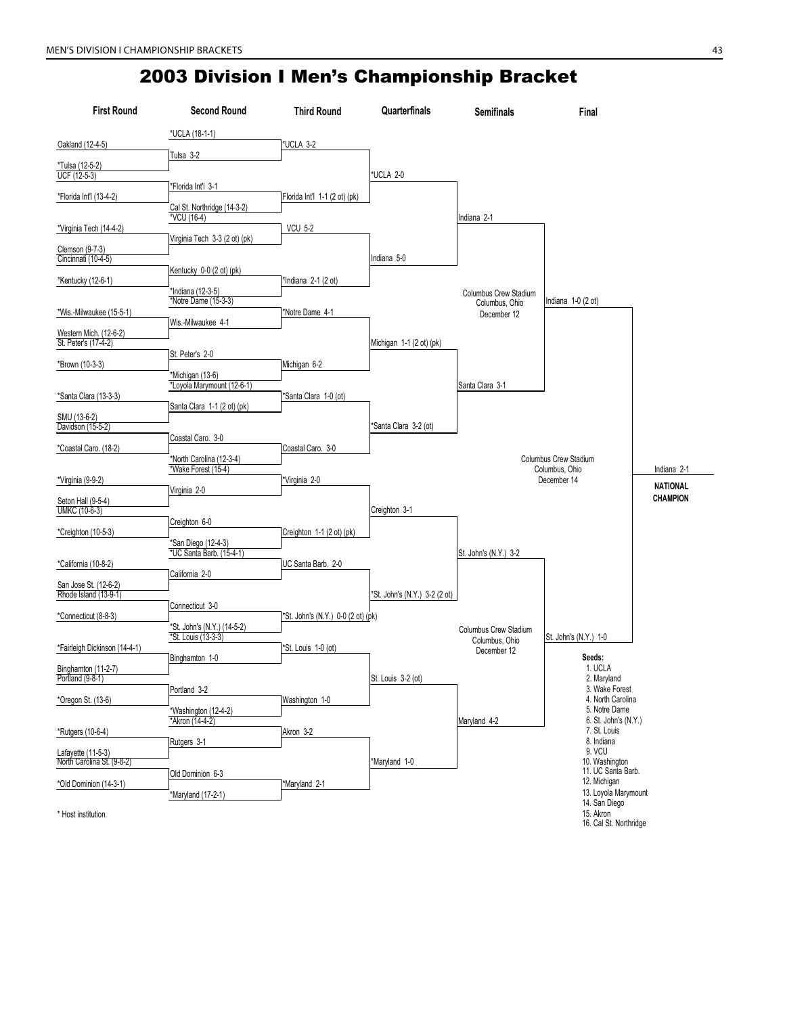| <b>First Round</b>                  | <b>Second Round</b>                                | <b>Third Round</b>                 | Quarterfinals                 | <b>Semifinals</b>                              | Final                                 |                 |
|-------------------------------------|----------------------------------------------------|------------------------------------|-------------------------------|------------------------------------------------|---------------------------------------|-----------------|
|                                     | *UCLA (18-1-1)                                     |                                    |                               |                                                |                                       |                 |
| Oakland (12-4-5)                    | Tulsa 3-2                                          | *UCLA 3-2                          |                               |                                                |                                       |                 |
| *Tulsa (12-5-2)                     |                                                    |                                    |                               |                                                |                                       |                 |
| UCF (12-5-3)                        | 'Florida Int'l 3-1                                 |                                    | *UCLA 2-0                     |                                                |                                       |                 |
| *Florida Int'l (13-4-2)             |                                                    | Florida Int'l 1-1 (2 ot) (pk)      |                               |                                                |                                       |                 |
|                                     | Cal St. Northridge (14-3-2)<br>*VCU (16-4)         |                                    |                               | Indiana 2-1                                    |                                       |                 |
| *Virginia Tech (14-4-2)             |                                                    | <b>VCU 5-2</b>                     |                               |                                                |                                       |                 |
| Clemson (9-7-3)                     | Virginia Tech 3-3 (2 ot) (pk)                      |                                    |                               |                                                |                                       |                 |
| Cincinnati (10-4-5)                 |                                                    |                                    | Indiana 5-0                   |                                                |                                       |                 |
| *Kentucky (12-6-1)                  | Kentucky 0-0 (2 ot) (pk)                           | *Indiana 2-1 (2 ot)                |                               |                                                |                                       |                 |
|                                     | *Indiana (12-3-5)<br>*Notre Dame (15-3-3)          |                                    |                               | Columbus Crew Stadium                          | Indiana $1-0$ (2 ot)                  |                 |
| *Wis.-Milwaukee (15-5-1)            |                                                    | *Notre Dame 4-1                    |                               | Columbus, Ohio<br>December 12                  |                                       |                 |
| Western Mich. (12-6-2)              | Wis.-Milwaukee 4-1                                 |                                    |                               |                                                |                                       |                 |
| St. Peter's (17-4-2)                |                                                    |                                    | Michigan 1-1 (2 ot) (pk)      |                                                |                                       |                 |
| *Brown (10-3-3)                     | St. Peter's 2-0                                    | Michigan 6-2                       |                               |                                                |                                       |                 |
|                                     | *Michigan (13-6)                                   |                                    |                               |                                                |                                       |                 |
| *Santa Clara (13-3-3)               | *Loyola Marymount (12-6-1)                         | *Santa Clara 1-0 (ot)              |                               | Santa Clara 3-1                                |                                       |                 |
|                                     | Santa Clara 1-1 (2 ot) (pk)                        |                                    |                               |                                                |                                       |                 |
| SMU (13-6-2)<br>Davidson (15-5-2)   |                                                    |                                    | *Santa Clara 3-2 (ot)         |                                                |                                       |                 |
|                                     | Coastal Caro. 3-0                                  |                                    |                               |                                                |                                       |                 |
| *Coastal Caro. (18-2)               | *North Carolina (12-3-4)                           | Coastal Caro. 3-0                  |                               |                                                | Columbus Crew Stadium                 |                 |
|                                     | *Wake Forest (15-4)                                |                                    |                               |                                                | Columbus, Ohio<br>December 14         | Indiana 2-1     |
| *Virginia (9-9-2)                   | Virginia 2-0                                       | Virginia 2-0                       |                               |                                                |                                       | <b>NATIONAL</b> |
| Seton Hall (9-5-4)<br>UMKC (10-6-3) |                                                    |                                    | Creighton 3-1                 |                                                |                                       | <b>CHAMPION</b> |
|                                     | Creighton 6-0                                      |                                    |                               |                                                |                                       |                 |
| *Creighton (10-5-3)                 | *San Diego (12-4-3)                                | Creighton 1-1 (2 ot) (pk)          |                               |                                                |                                       |                 |
|                                     | *UC Santa Barb. (15-4-1)                           |                                    |                               | St. John's (N.Y.) 3-2                          |                                       |                 |
| *California (10-8-2)                | California 2-0                                     | UC Santa Barb. 2-0                 |                               |                                                |                                       |                 |
| San Jose St. (12-6-2)               |                                                    |                                    |                               |                                                |                                       |                 |
| Rhode Island (13-9-1)               | Connecticut 3-0                                    |                                    | *St. John's (N.Y.) 3-2 (2 ot) |                                                |                                       |                 |
| *Connecticut (8-8-3)                |                                                    | *St. John's (N.Y.) 0-0 (2 ot) (pk) |                               |                                                |                                       |                 |
|                                     | *St. John's (N.Y.) (14-5-2)<br>*St. Louis (13-3-3) |                                    |                               | <b>Columbus Crew Stadium</b><br>Columbus, Ohio | St. John's (N.Y.) 1-0                 |                 |
| *Fairleigh Dickinson (14-4-1)       | Binghamton 1-0                                     | *St. Louis 1-0 (ot)                |                               | December 12                                    | Seeds:                                |                 |
| Binghamton (11-2-7)                 |                                                    |                                    |                               |                                                | 1. UCLA                               |                 |
| Portland (9-8-1)                    | Portland 3-2                                       |                                    | St. Louis 3-2 (ot)            |                                                | 2. Maryland<br>3. Wake Forest         |                 |
| *Oregon St. (13-6)                  |                                                    | Washington 1-0                     |                               |                                                | 4. North Carolina                     |                 |
|                                     | *Washington (12-4-2)<br>*Akron (14-4-2)            |                                    |                               | Maryland 4-2                                   | 5. Notre Dame<br>6. St. John's (N.Y.) |                 |
| *Rutgers (10-6-4)                   |                                                    | Akron 3-2                          |                               |                                                | 7. St. Louis                          |                 |
| Lafayette (11-5-3)                  | Rutgers 3-1                                        |                                    |                               |                                                | 8. Indiana<br>9. VCU                  |                 |
| North Carolina St. (9-8-2)          |                                                    |                                    | *Maryland 1-0                 |                                                | 10. Washington<br>11. UC Santa Barb.  |                 |
| *Old Dominion (14-3-1)              | Old Dominion 6-3                                   | *Maryland 2-1                      |                               |                                                | 12. Michigan                          |                 |
|                                     | *Maryland (17-2-1)                                 |                                    |                               |                                                | 13. Loyola Marymount<br>14. San Diego |                 |
| * Host institution.                 |                                                    |                                    |                               |                                                | 15. Akron                             |                 |
|                                     |                                                    |                                    |                               |                                                | 16. Cal St. Northridge                |                 |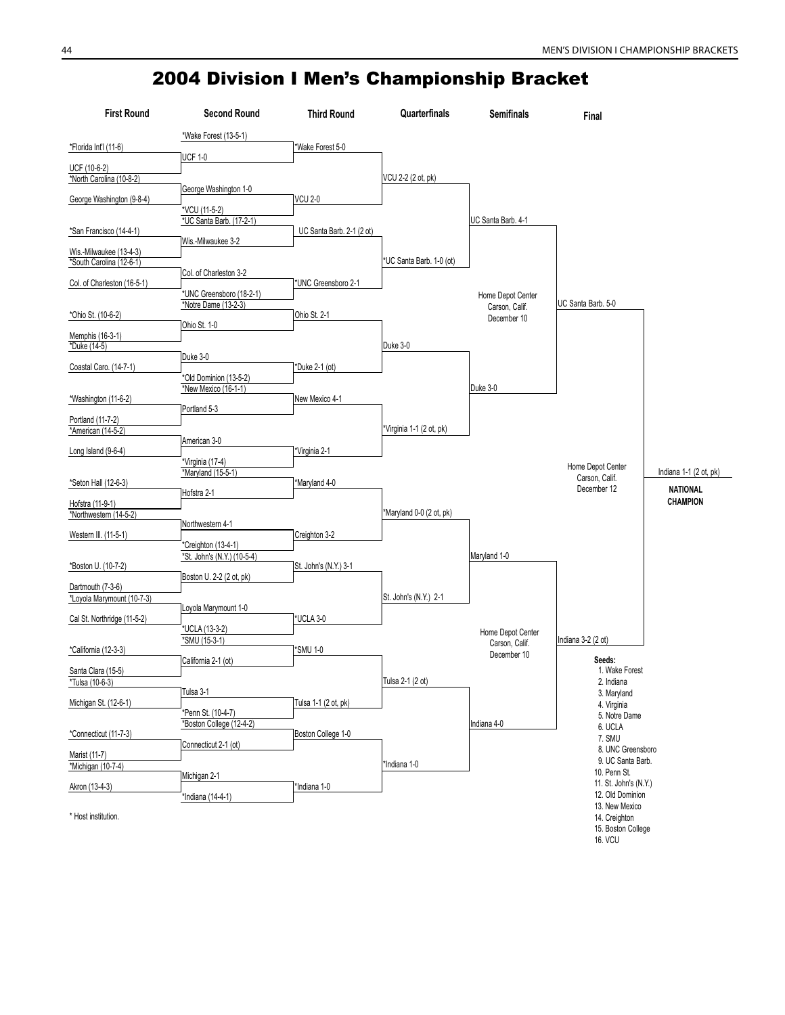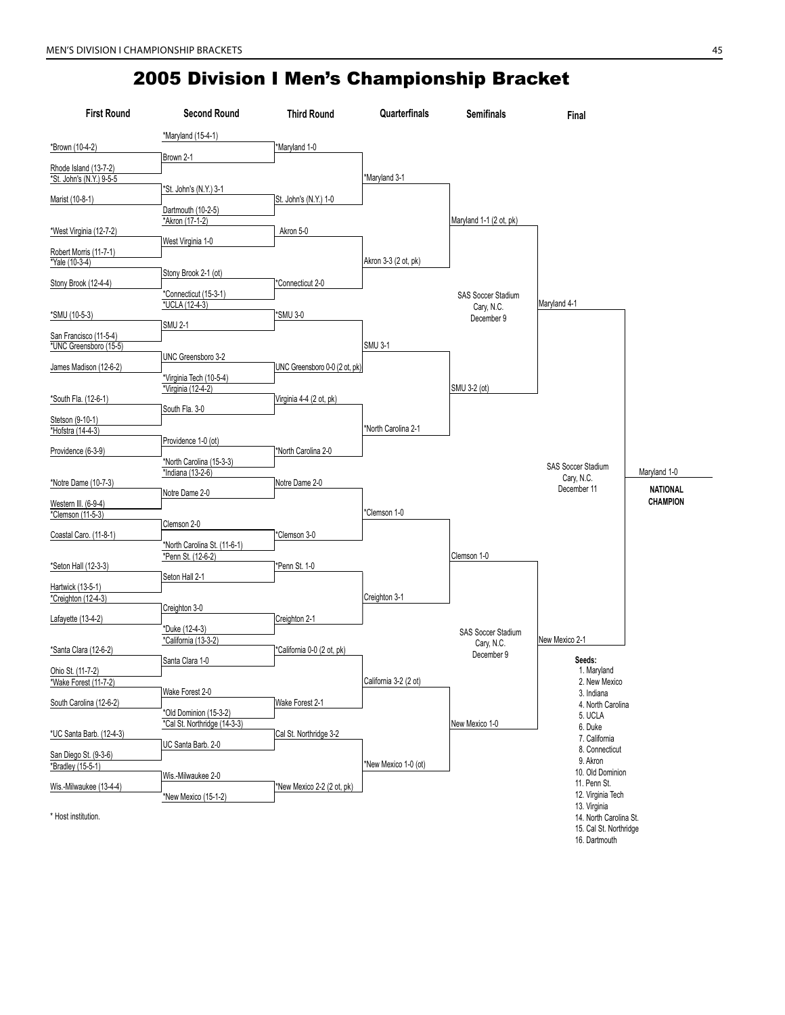| <b>First Round</b>       | <b>Second Round</b>                           | <b>Third Round</b>            | Quarterfinals         | <b>Semifinals</b>                       | Final                                            |                 |
|--------------------------|-----------------------------------------------|-------------------------------|-----------------------|-----------------------------------------|--------------------------------------------------|-----------------|
|                          | *Maryland (15-4-1)                            |                               |                       |                                         |                                                  |                 |
| *Brown (10-4-2)          | Brown 2-1                                     | *Maryland 1-0                 |                       |                                         |                                                  |                 |
| Rhode Island (13-7-2)    |                                               |                               |                       |                                         |                                                  |                 |
| *St. John's (N.Y.) 9-5-5 | *St. John's (N.Y.) 3-1                        |                               | *Maryland 3-1         |                                         |                                                  |                 |
| Marist (10-8-1)          |                                               | St. John's (N.Y.) 1-0         |                       |                                         |                                                  |                 |
|                          | Dartmouth (10-2-5)<br>*Akron (17-1-2)         |                               |                       | Maryland 1-1 (2 ot, pk)                 |                                                  |                 |
| *West Virginia (12-7-2)  | West Virginia 1-0                             | Akron 5-0                     |                       |                                         |                                                  |                 |
| Robert Morris (11-7-1)   |                                               |                               |                       |                                         |                                                  |                 |
| *Yale (10-3-4)           | Stony Brook 2-1 (ot)                          |                               | Akron 3-3 (2 ot, pk)  |                                         |                                                  |                 |
| Stony Brook (12-4-4)     |                                               | Connecticut 2-0*              |                       |                                         |                                                  |                 |
|                          | *Connecticut (15-3-1)<br>*UCLA (12-4-3)       |                               |                       | <b>SAS Soccer Stadium</b><br>Cary, N.C. | Maryland 4-1                                     |                 |
| *SMU (10-5-3)            | <b>SMU 2-1</b>                                | *SMU 3-0                      |                       | December 9                              |                                                  |                 |
| San Francisco (11-5-4)   |                                               |                               |                       |                                         |                                                  |                 |
| *UNC Greensboro (15-5)   | UNC Greensboro 3-2                            |                               | <b>SMU 3-1</b>        |                                         |                                                  |                 |
| James Madison (12-6-2)   |                                               | UNC Greensboro 0-0 (2 ot, pk) |                       |                                         |                                                  |                 |
|                          | *Virginia Tech (10-5-4)<br>*Virginia (12-4-2) |                               |                       | SMU 3-2 (ot)                            |                                                  |                 |
| *South Fla. (12-6-1)     | South Fla. 3-0                                | Virginia 4-4 (2 ot, pk)       |                       |                                         |                                                  |                 |
| Stetson (9-10-1)         |                                               |                               |                       |                                         |                                                  |                 |
| *Hofstra (14-4-3)        | Providence 1-0 (ot)                           |                               | *North Carolina 2-1   |                                         |                                                  |                 |
| Providence (6-3-9)       |                                               | *North Carolina 2-0           |                       |                                         |                                                  |                 |
|                          | *North Carolina (15-3-3)<br>*Indiana (13-2-6) |                               |                       |                                         | <b>SAS Soccer Stadium</b><br>Cary, N.C.          | Maryland 1-0    |
| *Notre Dame (10-7-3)     | Notre Dame 2-0                                | Notre Dame 2-0                |                       |                                         | December 11                                      | <b>NATIONAL</b> |
| Western III. (6-9-4)     |                                               |                               |                       |                                         |                                                  | <b>CHAMPION</b> |
| *Clemson (11-5-3)        | Clemson 2-0                                   |                               | Clemson 1-0           |                                         |                                                  |                 |
| Coastal Caro. (11-8-1)   | *North Carolina St. (11-6-1)                  | *Clemson 3-0                  |                       |                                         |                                                  |                 |
|                          | *Penn St. (12-6-2)                            |                               |                       | Clemson 1-0                             |                                                  |                 |
| *Seton Hall (12-3-3)     | Seton Hall 2-1                                | *Penn St. 1-0                 |                       |                                         |                                                  |                 |
| Hartwick (13-5-1)        |                                               |                               |                       |                                         |                                                  |                 |
| *Creighton (12-4-3)      | Creighton 3-0                                 |                               | Creighton 3-1         |                                         |                                                  |                 |
| Lafayette (13-4-2)       |                                               | Creighton 2-1                 |                       |                                         |                                                  |                 |
|                          | *Duke (12-4-3)<br>*California (13-3-2)        |                               |                       | <b>SAS Soccer Stadium</b><br>Cary, N.C. | New Mexico 2-1                                   |                 |
| *Santa Clara (12-6-2)    | Santa Clara 1-0                               | *California 0-0 (2 ot, pk)    |                       | December 9                              | Seeds:                                           |                 |
| Ohio St. (11-7-2)        |                                               |                               |                       |                                         | 1. Maryland                                      |                 |
| *Wake Forest (11-7-2)    | Wake Forest 2-0                               |                               | California 3-2 (2 ot) |                                         | 2. New Mexico<br>3. Indiana                      |                 |
| South Carolina (12-6-2)  | *Old Dominion (15-3-2)                        | Wake Forest 2-1               |                       |                                         | 4. North Carolina                                |                 |
|                          | *Cal St. Northridge (14-3-3)                  |                               |                       | New Mexico 1-0                          | 5. UCLA<br>6. Duke                               |                 |
| *UC Santa Barb. (12-4-3) | UC Santa Barb. 2-0                            | Cal St. Northridge 3-2        |                       |                                         | 7. California                                    |                 |
| San Diego St. (9-3-6)    |                                               |                               |                       |                                         | 8. Connecticut<br>9. Akron                       |                 |
| *Bradley (15-5-1)        | Wis.-Milwaukee 2-0                            |                               | *New Mexico 1-0 (ot)  |                                         | 10. Old Dominion                                 |                 |
| Wis.-Milwaukee (13-4-4)  | *New Mexico (15-1-2)                          | *New Mexico 2-2 (2 ot, pk)    |                       |                                         | 11. Penn St.<br>12. Virginia Tech                |                 |
|                          |                                               |                               |                       |                                         | 13. Virginia                                     |                 |
| * Host institution.      |                                               |                               |                       |                                         | 14. North Carolina St.<br>15. Cal St. Northridge |                 |
|                          |                                               |                               |                       |                                         | 16. Dartmouth                                    |                 |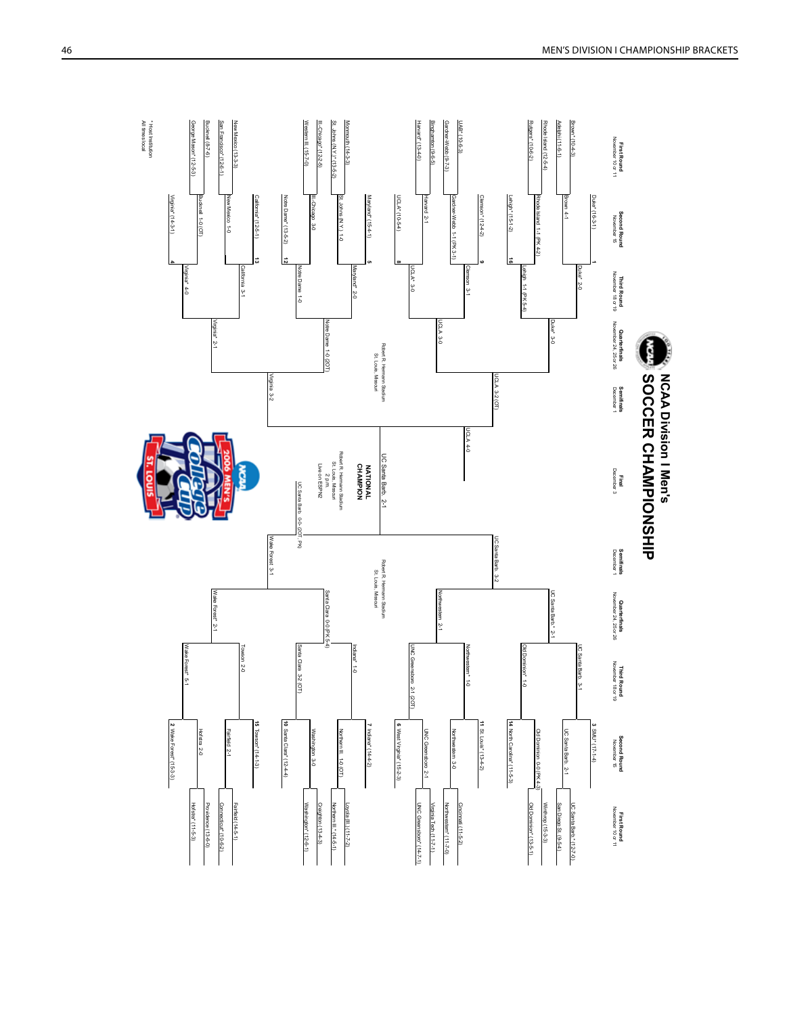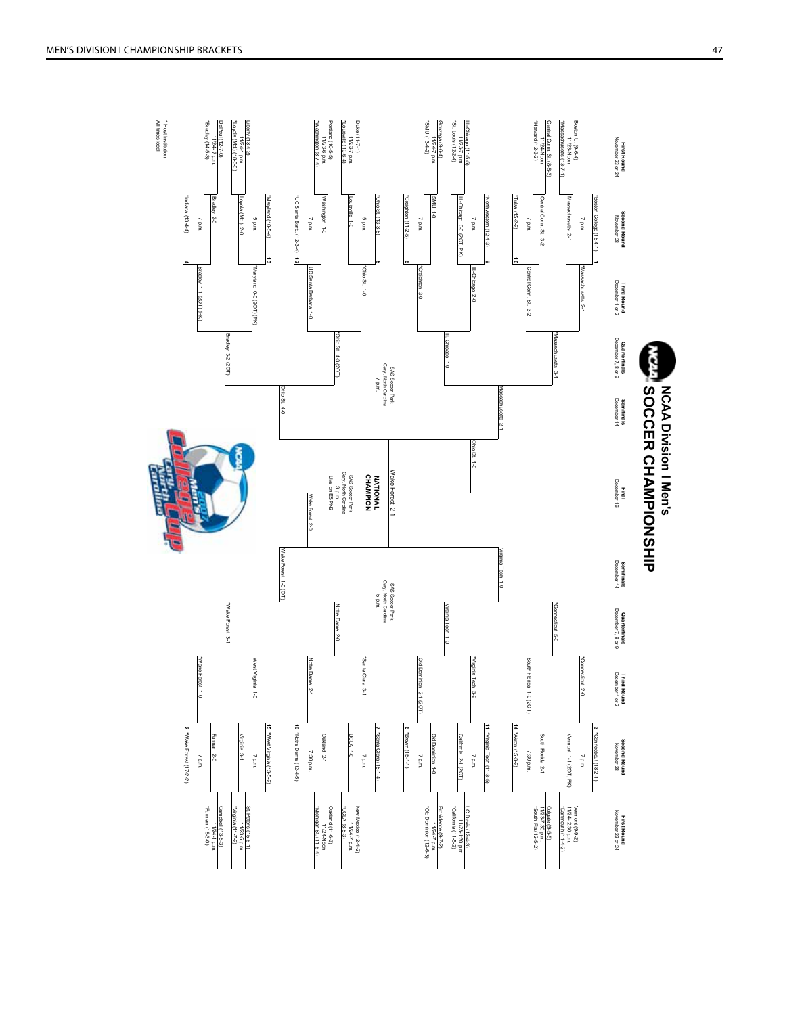

MEN'S DIVISION I CHAMPIONSHIP BRA m ckets and the control of the control of the control of the control of the control of the control of the control of the control of the control of the control of the control of the control of the control of the control of th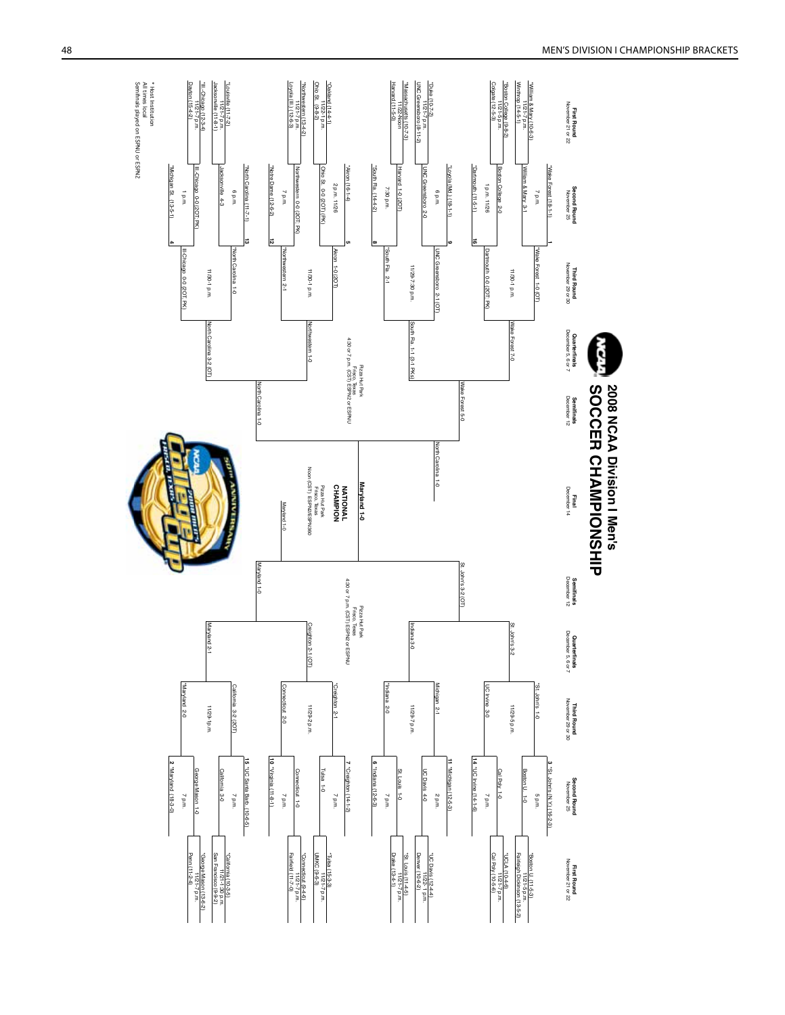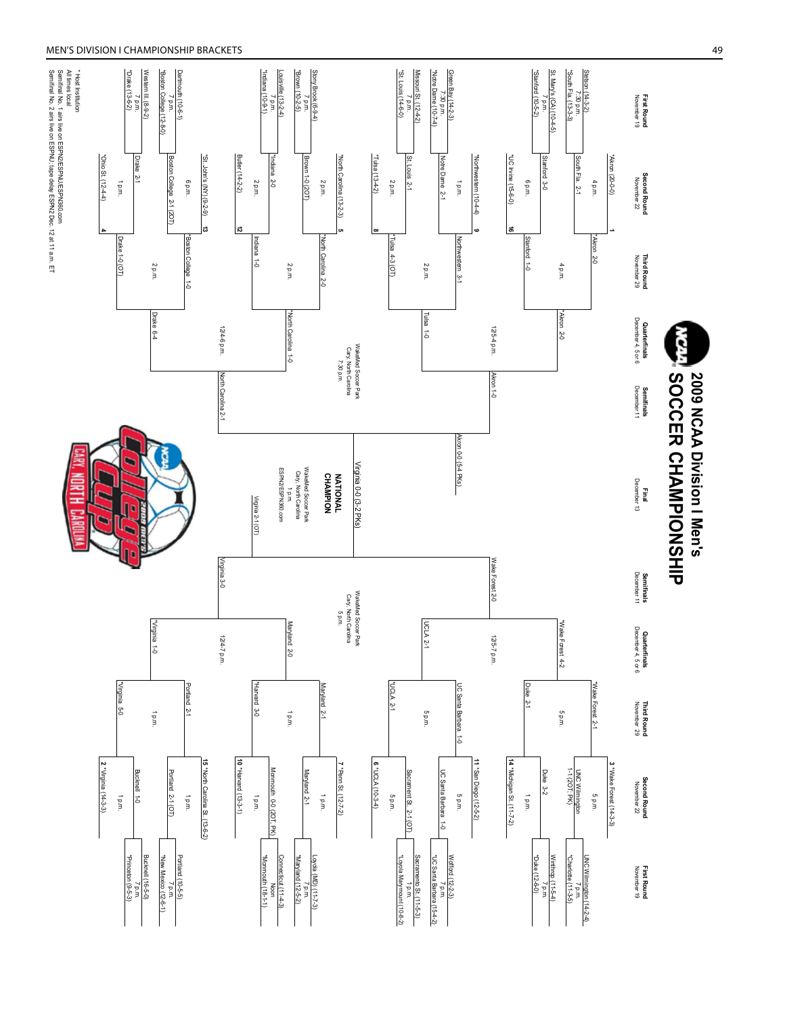#### MEN'S DIVISION I CHAMPIONSHIP BRA m ckets and the control of the control of the control of the control of the control of the control of the control of the control of the control of the control of the control of the control of the control of the control of th